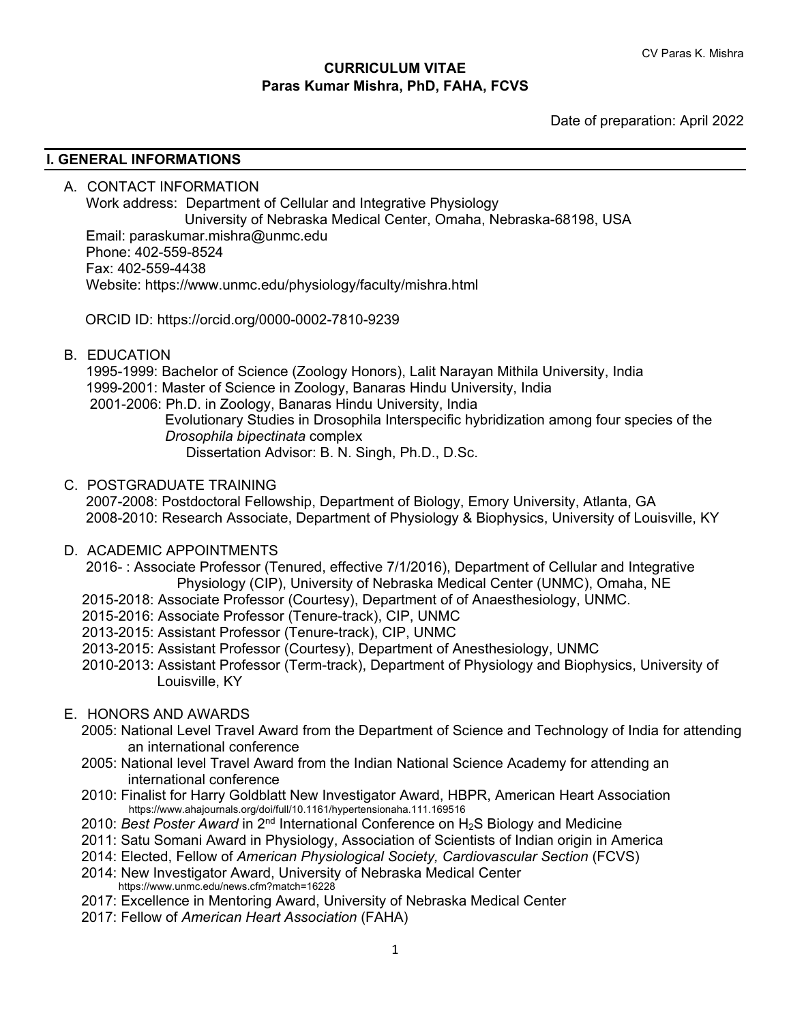#### **CURRICULUM VITAE Paras Kumar Mishra, PhD, FAHA, FCVS**

Date of preparation: April 2022

#### **I. GENERAL INFORMATIONS**

A. CONTACT INFORMATION Work address: Department of Cellular and Integrative Physiology University of Nebraska Medical Center, Omaha, Nebraska-68198, USA Email: paraskumar.mishra@unmc.edu Phone: 402-559-8524 Fax: 402-559-4438 Website: https://www.unmc.edu/physiology/faculty/mishra.html

ORCID ID: https://orcid.org/0000-0002-7810-9239

B. EDUCATION

 1995-1999: Bachelor of Science (Zoology Honors), Lalit Narayan Mithila University, India 1999-2001: Master of Science in Zoology, Banaras Hindu University, India 2001-2006: Ph.D. in Zoology, Banaras Hindu University, India

 Evolutionary Studies in Drosophila Interspecific hybridization among four species of the *Drosophila bipectinata* complex Dissertation Advisor: B. N. Singh, Ph.D., D.Sc.

C. POSTGRADUATE TRAINING

 2007-2008: Postdoctoral Fellowship, Department of Biology, Emory University, Atlanta, GA 2008-2010: Research Associate, Department of Physiology & Biophysics, University of Louisville, KY

D. ACADEMIC APPOINTMENTS

2016- : Associate Professor (Tenured, effective 7/1/2016), Department of Cellular and Integrative Physiology (CIP), University of Nebraska Medical Center (UNMC), Omaha, NE

- 2015-2018: Associate Professor (Courtesy), Department of of Anaesthesiology, UNMC.
- 2015-2016: Associate Professor (Tenure-track), CIP, UNMC
- 2013-2015: Assistant Professor (Tenure-track), CIP, UNMC
- 2013-2015: Assistant Professor (Courtesy), Department of Anesthesiology, UNMC
- 2010-2013: Assistant Professor (Term-track), Department of Physiology and Biophysics, University of Louisville, KY

#### E. HONORS AND AWARDS

- 2005: National Level Travel Award from the Department of Science and Technology of India for attending an international conference
- 2005: National level Travel Award from the Indian National Science Academy for attending an international conference
- 2010: Finalist for Harry Goldblatt New Investigator Award, HBPR, American Heart Association https://www.ahajournals.org/doi/full/10.1161/hypertensionaha.111.169516
- 2010: *Best Poster Award* in 2nd International Conference on H2S Biology and Medicine
- 2011: Satu Somani Award in Physiology, Association of Scientists of Indian origin in America
- 2014: Elected, Fellow of *American Physiological Society, Cardiovascular Section* (FCVS)
- 2014: New Investigator Award, University of Nebraska Medical Center https://www.unmc.edu/news.cfm?match=16228
- 2017: Excellence in Mentoring Award, University of Nebraska Medical Center
- 2017: Fellow of *American Heart Association* (FAHA)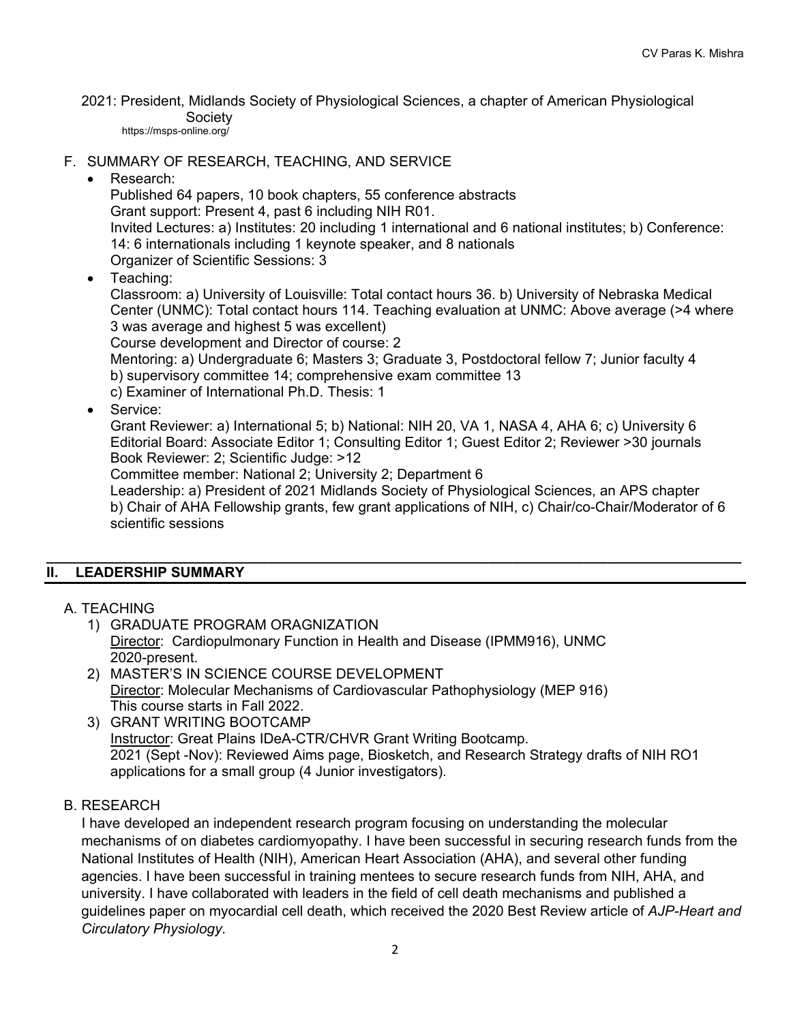2021: President, Midlands Society of Physiological Sciences, a chapter of American Physiological Society

https://msps-online.org/

- F. SUMMARY OF RESEARCH, TEACHING, AND SERVICE
	- Research:

Published 64 papers, 10 book chapters, 55 conference abstracts Grant support: Present 4, past 6 including NIH R01. Invited Lectures: a) Institutes: 20 including 1 international and 6 national institutes; b) Conference: 14: 6 internationals including 1 keynote speaker, and 8 nationals Organizer of Scientific Sessions: 3

• Teaching:

Classroom: a) University of Louisville: Total contact hours 36. b) University of Nebraska Medical Center (UNMC): Total contact hours 114. Teaching evaluation at UNMC: Above average (>4 where 3 was average and highest 5 was excellent)

Course development and Director of course: 2

Mentoring: a) Undergraduate 6; Masters 3; Graduate 3, Postdoctoral fellow 7; Junior faculty 4 b) supervisory committee 14; comprehensive exam committee 13

c) Examiner of International Ph.D. Thesis: 1

• Service:

Grant Reviewer: a) International 5; b) National: NIH 20, VA 1, NASA 4, AHA 6; c) University 6 Editorial Board: Associate Editor 1; Consulting Editor 1; Guest Editor 2; Reviewer >30 journals Book Reviewer: 2; Scientific Judge: >12

Committee member: National 2; University 2; Department 6

Leadership: a) President of 2021 Midlands Society of Physiological Sciences, an APS chapter b) Chair of AHA Fellowship grants, few grant applications of NIH, c) Chair/co-Chair/Moderator of 6 scientific sessions

#### **\_\_\_\_\_\_\_\_\_\_\_\_\_\_\_\_\_\_\_\_\_\_\_\_\_\_\_\_\_\_\_\_\_\_\_\_\_\_\_\_\_\_\_\_\_\_\_\_\_\_\_\_\_\_\_\_\_\_\_\_\_\_\_\_\_\_\_\_\_\_\_\_\_\_\_\_\_\_\_\_\_\_\_\_\_\_\_\_ II. LEADERSHIP SUMMARY**

- A. TEACHING
	- 1) GRADUATE PROGRAM ORAGNIZATION Director: Cardiopulmonary Function in Health and Disease (IPMM916), UNMC 2020-present.
	- 2) MASTER'S IN SCIENCE COURSE DEVELOPMENT Director: Molecular Mechanisms of Cardiovascular Pathophysiology (MEP 916) This course starts in Fall 2022.
	- 3) GRANT WRITING BOOTCAMP Instructor: Great Plains IDeA-CTR/CHVR Grant Writing Bootcamp. 2021 (Sept -Nov): Reviewed Aims page, Biosketch, and Research Strategy drafts of NIH RO1 applications for a small group (4 Junior investigators).

#### B. RESEARCH

 I have developed an independent research program focusing on understanding the molecular mechanisms of on diabetes cardiomyopathy. I have been successful in securing research funds from the National Institutes of Health (NIH), American Heart Association (AHA), and several other funding agencies. I have been successful in training mentees to secure research funds from NIH, AHA, and university. I have collaborated with leaders in the field of cell death mechanisms and published a guidelines paper on myocardial cell death, which received the 2020 Best Review article of *AJP-Heart and Circulatory Physiology*.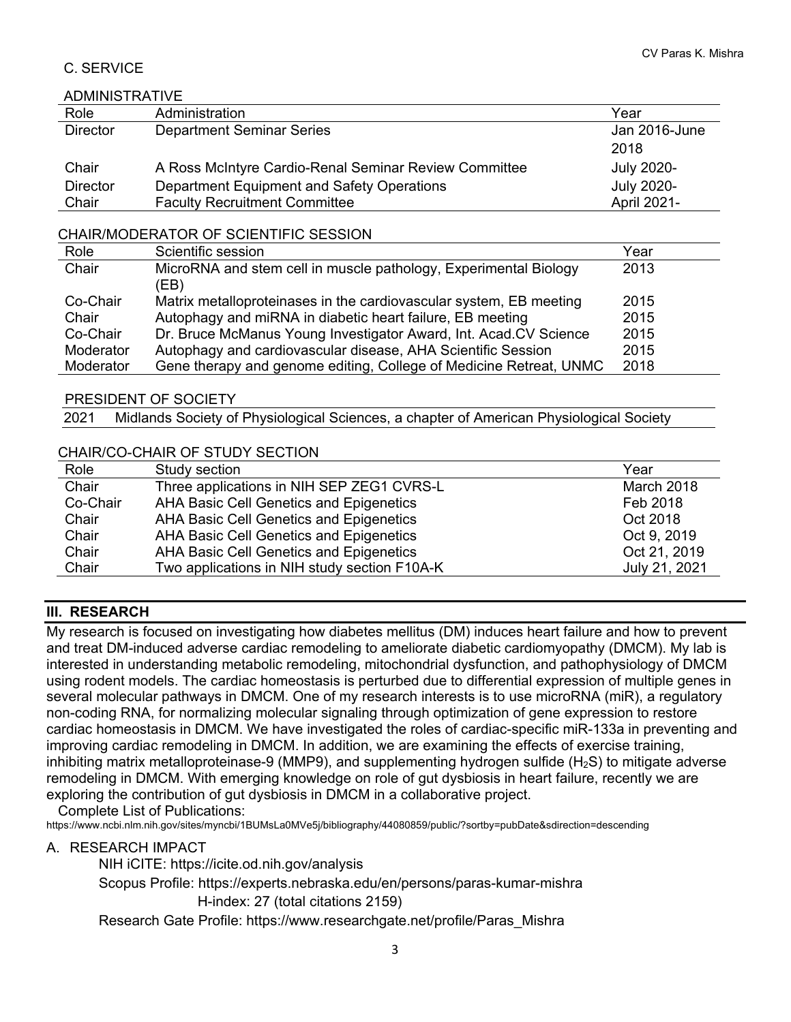## C. SERVICE

#### ADMINISTRATIVE

| Role            | Administration                                        | Year              |  |
|-----------------|-------------------------------------------------------|-------------------|--|
| <b>Director</b> | <b>Department Seminar Series</b>                      | Jan 2016-June     |  |
|                 |                                                       | 2018              |  |
| Chair           | A Ross McIntyre Cardio-Renal Seminar Review Committee | <b>July 2020-</b> |  |
| <b>Director</b> | Department Equipment and Safety Operations            | <b>July 2020-</b> |  |
| Chair           | <b>Faculty Recruitment Committee</b>                  | April 2021-       |  |

#### CHAIR/MODERATOR OF SCIENTIFIC SESSION

| Role      | Scientific session                                                 | Year |
|-----------|--------------------------------------------------------------------|------|
| Chair     | MicroRNA and stem cell in muscle pathology, Experimental Biology   | 2013 |
|           | (EB)                                                               |      |
| Co-Chair  | Matrix metalloproteinases in the cardiovascular system, EB meeting | 2015 |
| Chair     | Autophagy and miRNA in diabetic heart failure, EB meeting          | 2015 |
| Co-Chair  | Dr. Bruce McManus Young Investigator Award, Int. Acad.CV Science   | 2015 |
| Moderator | Autophagy and cardiovascular disease, AHA Scientific Session       | 2015 |
| Moderator | Gene therapy and genome editing, College of Medicine Retreat, UNMC | 2018 |

#### PRESIDENT OF SOCIETY

2021 Midlands Society of Physiological Sciences, a chapter of American Physiological Society

### CHAIR/CO-CHAIR OF STUDY SECTION

| Role     | Study section                                | Year          |
|----------|----------------------------------------------|---------------|
| Chair    | Three applications in NIH SEP ZEG1 CVRS-L    | March 2018    |
| Co-Chair | AHA Basic Cell Genetics and Epigenetics      | Feb 2018      |
| Chair    | AHA Basic Cell Genetics and Epigenetics      | Oct 2018      |
| Chair    | AHA Basic Cell Genetics and Epigenetics      | Oct 9, 2019   |
| Chair    | AHA Basic Cell Genetics and Epigenetics      | Oct 21, 2019  |
| Chair    | Two applications in NIH study section F10A-K | July 21, 2021 |

### **III. RESEARCH**

My research is focused on investigating how diabetes mellitus (DM) induces heart failure and how to prevent and treat DM-induced adverse cardiac remodeling to ameliorate diabetic cardiomyopathy (DMCM). My lab is interested in understanding metabolic remodeling, mitochondrial dysfunction, and pathophysiology of DMCM using rodent models. The cardiac homeostasis is perturbed due to differential expression of multiple genes in several molecular pathways in DMCM. One of my research interests is to use microRNA (miR), a regulatory non-coding RNA, for normalizing molecular signaling through optimization of gene expression to restore cardiac homeostasis in DMCM. We have investigated the roles of cardiac-specific miR-133a in preventing and improving cardiac remodeling in DMCM. In addition, we are examining the effects of exercise training, inhibiting matrix metalloproteinase-9 (MMP9), and supplementing hydrogen sulfide  $(H<sub>2</sub>S)$  to mitigate adverse remodeling in DMCM. With emerging knowledge on role of gut dysbiosis in heart failure, recently we are exploring the contribution of gut dysbiosis in DMCM in a collaborative project.

Complete List of Publications: https://www.ncbi.nlm.nih.gov/sites/myncbi/1BUMsLa0MVe5j/bibliography/44080859/public/?sortby=pubDate&sdirection=descending

#### A. RESEARCH IMPACT

NIH iCITE: https://icite.od.nih.gov/analysis Scopus Profile: https://experts.nebraska.edu/en/persons/paras-kumar-mishra H-index: 27 (total citations 2159) Research Gate Profile: https://www.researchgate.net/profile/Paras\_Mishra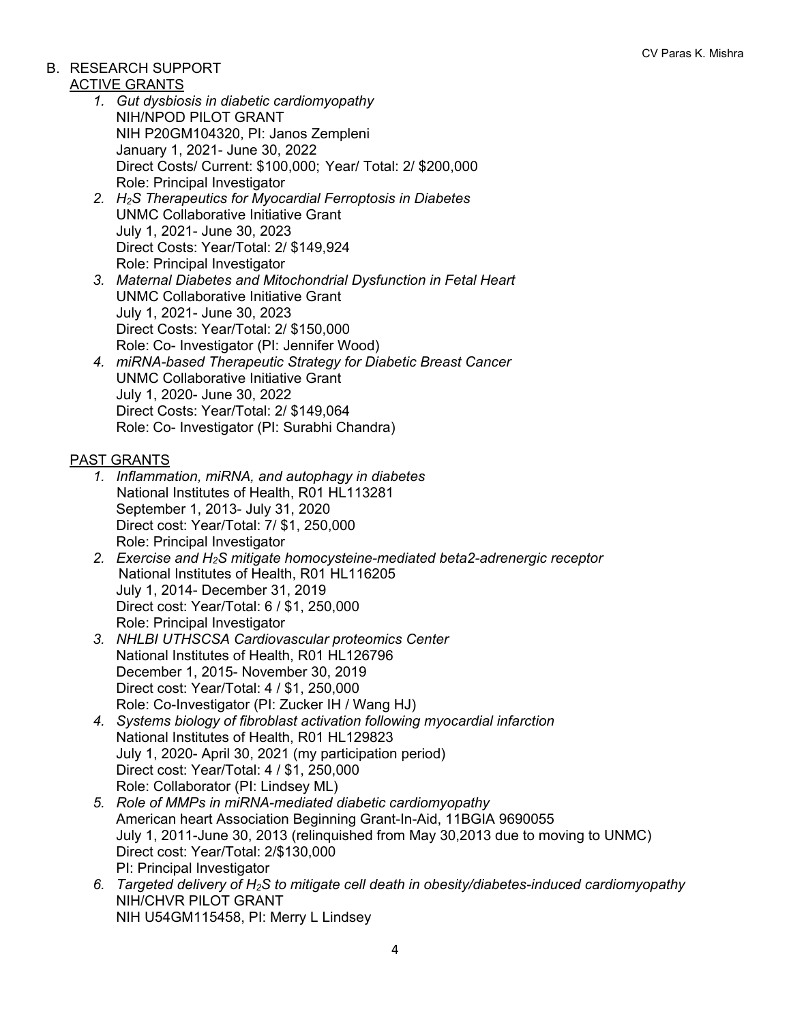## B. RESEARCH SUPPORT

### ACTIVE GRANTS

- *1. Gut dysbiosis in diabetic cardiomyopathy* NIH/NPOD PILOT GRANT NIH P20GM104320, PI: Janos Zempleni January 1, 2021- June 30, 2022 Direct Costs/ Current: \$100,000; Year/ Total: 2/ \$200,000 Role: Principal Investigator
- *2. H2S Therapeutics for Myocardial Ferroptosis in Diabetes* UNMC Collaborative Initiative Grant July 1, 2021- June 30, 2023 Direct Costs: Year/Total: 2/ \$149,924 Role: Principal Investigator
- *3. Maternal Diabetes and Mitochondrial Dysfunction in Fetal Heart* UNMC Collaborative Initiative Grant July 1, 2021- June 30, 2023 Direct Costs: Year/Total: 2/ \$150,000 Role: Co- Investigator (PI: Jennifer Wood)
- *4. miRNA-based Therapeutic Strategy for Diabetic Breast Cancer* UNMC Collaborative Initiative Grant July 1, 2020- June 30, 2022 Direct Costs: Year/Total: 2/ \$149,064 Role: Co- Investigator (PI: Surabhi Chandra)

## PAST GRANTS

- *1. Inflammation, miRNA, and autophagy in diabetes* National Institutes of Health, R01 HL113281 September 1, 2013- July 31, 2020 Direct cost: Year/Total: 7/ \$1, 250,000 Role: Principal Investigator
- *2. Exercise and H2S mitigate homocysteine-mediated beta2-adrenergic receptor* National Institutes of Health, R01 HL116205 July 1, 2014- December 31, 2019 Direct cost: Year/Total: 6 / \$1, 250,000 Role: Principal Investigator
- *3. NHLBI UTHSCSA Cardiovascular proteomics Center* National Institutes of Health, R01 HL126796 December 1, 2015- November 30, 2019 Direct cost: Year/Total: 4 / \$1, 250,000 Role: Co-Investigator (PI: Zucker IH / Wang HJ)
- *4. Systems biology of fibroblast activation following myocardial infarction* National Institutes of Health, R01 HL129823 July 1, 2020- April 30, 2021 (my participation period) Direct cost: Year/Total: 4 / \$1, 250,000 Role: Collaborator (PI: Lindsey ML)
- *5. Role of MMPs in miRNA-mediated diabetic cardiomyopathy* American heart Association Beginning Grant-In-Aid, 11BGIA 9690055 July 1, 2011-June 30, 2013 (relinquished from May 30,2013 due to moving to UNMC) Direct cost: Year/Total: 2/\$130,000 PI: Principal Investigator
- *6. Targeted delivery of H2S to mitigate cell death in obesity/diabetes-induced cardiomyopathy* NIH/CHVR PILOT GRANT NIH U54GM115458, PI: Merry L Lindsey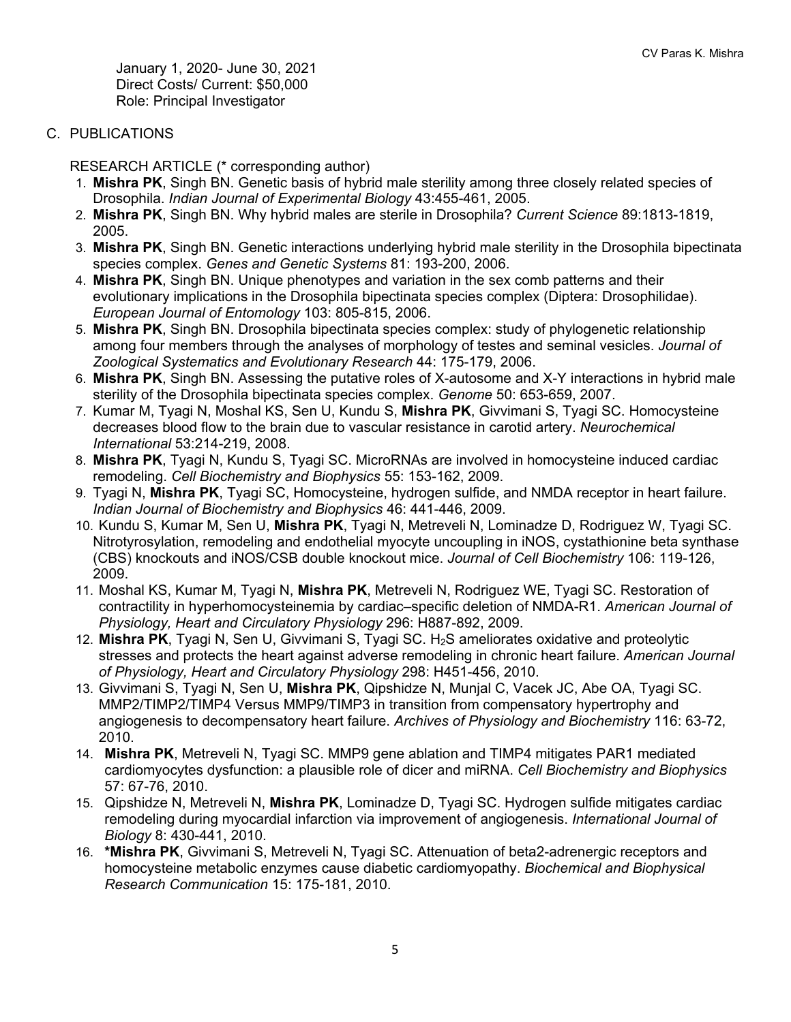January 1, 2020- June 30, 2021 Direct Costs/ Current: \$50,000 Role: Principal Investigator

C. PUBLICATIONS

RESEARCH ARTICLE (\* corresponding author)

- 1. **Mishra PK**, Singh BN. Genetic basis of hybrid male sterility among three closely related species of Drosophila. *Indian Journal of Experimental Biology* 43:455-461, 2005.
- 2. **Mishra PK**, Singh BN. Why hybrid males are sterile in Drosophila? *Current Science* 89:1813-1819, 2005.
- 3. **Mishra PK**, Singh BN. Genetic interactions underlying hybrid male sterility in the Drosophila bipectinata species complex. *Genes and Genetic Systems* 81: 193-200, 2006.
- 4. **Mishra PK**, Singh BN. Unique phenotypes and variation in the sex comb patterns and their evolutionary implications in the Drosophila bipectinata species complex (Diptera: Drosophilidae). *European Journal of Entomology* 103: 805-815, 2006.
- 5. **Mishra PK**, Singh BN. Drosophila bipectinata species complex: study of phylogenetic relationship among four members through the analyses of morphology of testes and seminal vesicles. *Journal of Zoological Systematics and Evolutionary Research* 44: 175-179, 2006.
- 6. **Mishra PK**, Singh BN. Assessing the putative roles of X-autosome and X-Y interactions in hybrid male sterility of the Drosophila bipectinata species complex. *Genome* 50: 653-659, 2007.
- 7. Kumar M, Tyagi N, Moshal KS, Sen U, Kundu S, **Mishra PK**, Givvimani S, Tyagi SC. Homocysteine decreases blood flow to the brain due to vascular resistance in carotid artery. *Neurochemical International* 53:214-219, 2008.
- 8. **Mishra PK**, Tyagi N, Kundu S, Tyagi SC. MicroRNAs are involved in homocysteine induced cardiac remodeling. *Cell Biochemistry and Biophysics* 55: 153-162, 2009.
- 9. Tyagi N, **Mishra PK**, Tyagi SC, Homocysteine, hydrogen sulfide, and NMDA receptor in heart failure. *Indian Journal of Biochemistry and Biophysics* 46: 441-446, 2009.
- 10. Kundu S, Kumar M, Sen U, **Mishra PK**, Tyagi N, Metreveli N, Lominadze D, Rodriguez W, Tyagi SC. Nitrotyrosylation, remodeling and endothelial myocyte uncoupling in iNOS, cystathionine beta synthase (CBS) knockouts and iNOS/CSB double knockout mice. *Journal of Cell Biochemistry* 106: 119-126, 2009.
- 11. Moshal KS, Kumar M, Tyagi N, **Mishra PK**, Metreveli N, Rodriguez WE, Tyagi SC. Restoration of contractility in hyperhomocysteinemia by cardiac–specific deletion of NMDA-R1. *American Journal of Physiology, Heart and Circulatory Physiology* 296: H887-892, 2009.
- 12. **Mishra PK**, Tyagi N, Sen U, Givvimani S, Tyagi SC. H2S ameliorates oxidative and proteolytic stresses and protects the heart against adverse remodeling in chronic heart failure. *American Journal of Physiology, Heart and Circulatory Physiology* 298: H451-456, 2010.
- 13. Givvimani S, Tyagi N, Sen U, **Mishra PK**, Qipshidze N, Munjal C, Vacek JC, Abe OA, Tyagi SC. MMP2/TIMP2/TIMP4 Versus MMP9/TIMP3 in transition from compensatory hypertrophy and angiogenesis to decompensatory heart failure. *Archives of Physiology and Biochemistry* 116: 63-72, 2010.
- 14. **Mishra PK**, Metreveli N, Tyagi SC. MMP9 gene ablation and TIMP4 mitigates PAR1 mediated cardiomyocytes dysfunction: a plausible role of dicer and miRNA. *Cell Biochemistry and Biophysics* 57: 67-76, 2010.
- 15. Qipshidze N, Metreveli N, **Mishra PK**, Lominadze D, Tyagi SC. Hydrogen sulfide mitigates cardiac remodeling during myocardial infarction via improvement of angiogenesis. *International Journal of Biology* 8: 430-441, 2010.
- 16. **\*Mishra PK**, Givvimani S, Metreveli N, Tyagi SC. Attenuation of beta2-adrenergic receptors and homocysteine metabolic enzymes cause diabetic cardiomyopathy. *Biochemical and Biophysical Research Communication* 15: 175-181, 2010.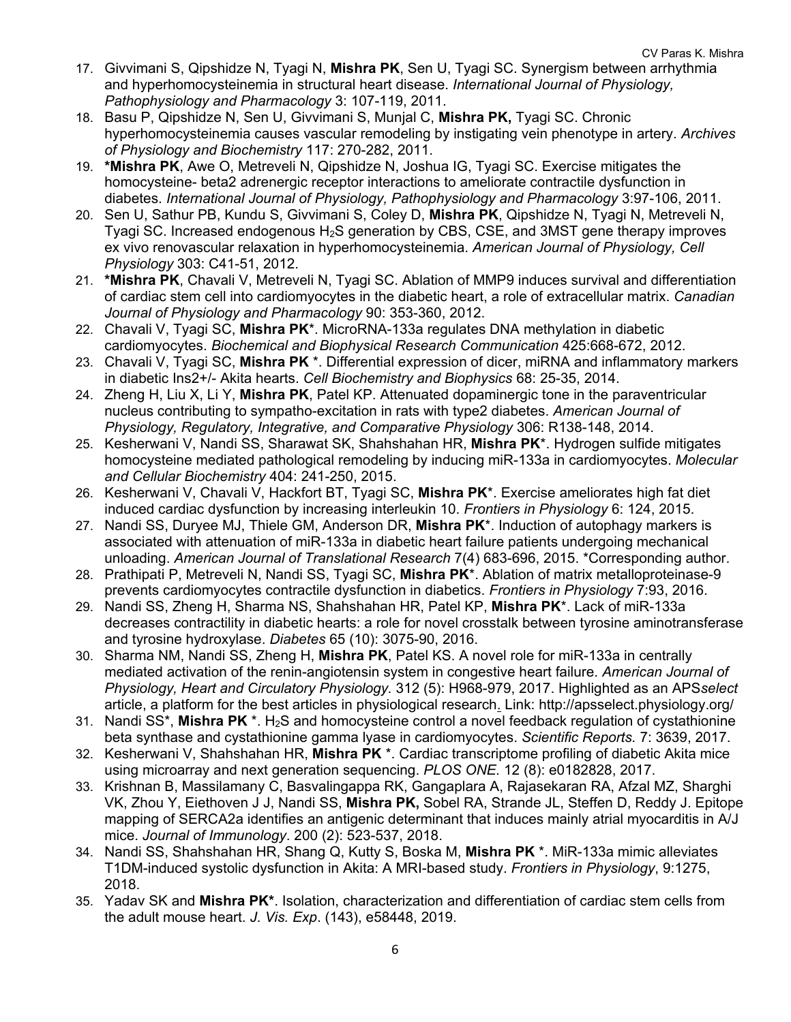- 17. Givvimani S, Qipshidze N, Tyagi N, **Mishra PK**, Sen U, Tyagi SC. Synergism between arrhythmia and hyperhomocysteinemia in structural heart disease. *International Journal of Physiology, Pathophysiology and Pharmacology* 3: 107-119, 2011.
- 18. Basu P, Qipshidze N, Sen U, Givvimani S, Munjal C, **Mishra PK,** Tyagi SC. Chronic hyperhomocysteinemia causes vascular remodeling by instigating vein phenotype in artery. *Archives of Physiology and Biochemistry* 117: 270-282, 2011.
- 19. **\*Mishra PK**, Awe O, Metreveli N, Qipshidze N, Joshua IG, Tyagi SC. Exercise mitigates the homocysteine- beta2 adrenergic receptor interactions to ameliorate contractile dysfunction in diabetes. *International Journal of Physiology, Pathophysiology and Pharmacology* 3:97-106, 2011.
- 20. Sen U, Sathur PB, Kundu S, Givvimani S, Coley D, **Mishra PK**, Qipshidze N, Tyagi N, Metreveli N, Tyagi SC. Increased endogenous H2S generation by CBS, CSE, and 3MST gene therapy improves ex vivo renovascular relaxation in hyperhomocysteinemia. *American Journal of Physiology, Cell Physiology* 303: C41-51, 2012.
- 21. **\*Mishra PK**, Chavali V, Metreveli N, Tyagi SC. Ablation of MMP9 induces survival and differentiation of cardiac stem cell into cardiomyocytes in the diabetic heart, a role of extracellular matrix. *Canadian Journal of Physiology and Pharmacology* 90: 353-360, 2012.
- 22. Chavali V, Tyagi SC, **Mishra PK**\*. MicroRNA-133a regulates DNA methylation in diabetic cardiomyocytes. *Biochemical and Biophysical Research Communication* 425:668-672, 2012.
- 23. Chavali V, Tyagi SC, **Mishra PK** \*. Differential expression of dicer, miRNA and inflammatory markers in diabetic Ins2+/- Akita hearts. *Cell Biochemistry and Biophysics* 68: 25-35, 2014.
- 24. Zheng H, Liu X, Li Y, **Mishra PK**, Patel KP. Attenuated dopaminergic tone in the paraventricular nucleus contributing to sympatho-excitation in rats with type2 diabetes. *American Journal of Physiology, Regulatory, Integrative, and Comparative Physiology* 306: R138-148, 2014.
- 25. Kesherwani V, Nandi SS, Sharawat SK, Shahshahan HR, **Mishra PK**\*. Hydrogen sulfide mitigates homocysteine mediated pathological remodeling by inducing miR-133a in cardiomyocytes. *Molecular and Cellular Biochemistry* 404: 241-250, 2015.
- 26. Kesherwani V, Chavali V, Hackfort BT, Tyagi SC, **Mishra PK**\*. Exercise ameliorates high fat diet induced cardiac dysfunction by increasing interleukin 10. *Frontiers in Physiology* 6: 124, 2015.
- 27. Nandi SS, Duryee MJ, Thiele GM, Anderson DR, **Mishra PK**\*. Induction of autophagy markers is associated with attenuation of miR-133a in diabetic heart failure patients undergoing mechanical unloading. *American Journal of Translational Research* 7(4) 683-696, 2015. \*Corresponding author.
- 28. Prathipati P, Metreveli N, Nandi SS, Tyagi SC, **Mishra PK**\*. Ablation of matrix metalloproteinase-9 prevents cardiomyocytes contractile dysfunction in diabetics. *Frontiers in Physiology* 7:93, 2016.
- 29. Nandi SS, Zheng H, Sharma NS, Shahshahan HR, Patel KP, **Mishra PK**\*. Lack of miR-133a decreases contractility in diabetic hearts: a role for novel crosstalk between tyrosine aminotransferase and tyrosine hydroxylase. *Diabetes* 65 (10): 3075-90, 2016.
- 30. Sharma NM, Nandi SS, Zheng H, **Mishra PK**, Patel KS. A novel role for miR-133a in centrally mediated activation of the renin-angiotensin system in congestive heart failure. *American Journal of Physiology, Heart and Circulatory Physiology.* 312 (5): H968-979, 2017. Highlighted as an APS*select*  article, a platform for the best articles in physiological research. Link: http://apsselect.physiology.org/
- 31. Nandi SS<sup>\*</sup>, Mishra PK<sup>\*</sup>. H<sub>2</sub>S and homocysteine control a novel feedback regulation of cystathionine beta synthase and cystathionine gamma lyase in cardiomyocytes. *Scientific Reports.* 7: 3639, 2017.
- 32. Kesherwani V, Shahshahan HR, **Mishra PK** \*. Cardiac transcriptome profiling of diabetic Akita mice using microarray and next generation sequencing. *PLOS ONE.* 12 (8): e0182828, 2017.
- 33. Krishnan B, Massilamany C, Basvalingappa RK, Gangaplara A, Rajasekaran RA, Afzal MZ, Sharghi VK, Zhou Y, Eiethoven J J, Nandi SS, **Mishra PK,** Sobel RA, Strande JL, Steffen D, Reddy J. Epitope mapping of SERCA2a identifies an antigenic determinant that induces mainly atrial myocarditis in A/J mice. *Journal of Immunology*. 200 (2): 523-537, 2018.
- 34. Nandi SS, Shahshahan HR, Shang Q, Kutty S, Boska M, **Mishra PK** \*. MiR-133a mimic alleviates T1DM-induced systolic dysfunction in Akita: A MRI-based study. *Frontiers in Physiology*, 9:1275, 2018.
- 35. Yadav SK and **Mishra PK\***. Isolation, characterization and differentiation of cardiac stem cells from the adult mouse heart. *J. Vis. Exp*. (143), e58448, 2019.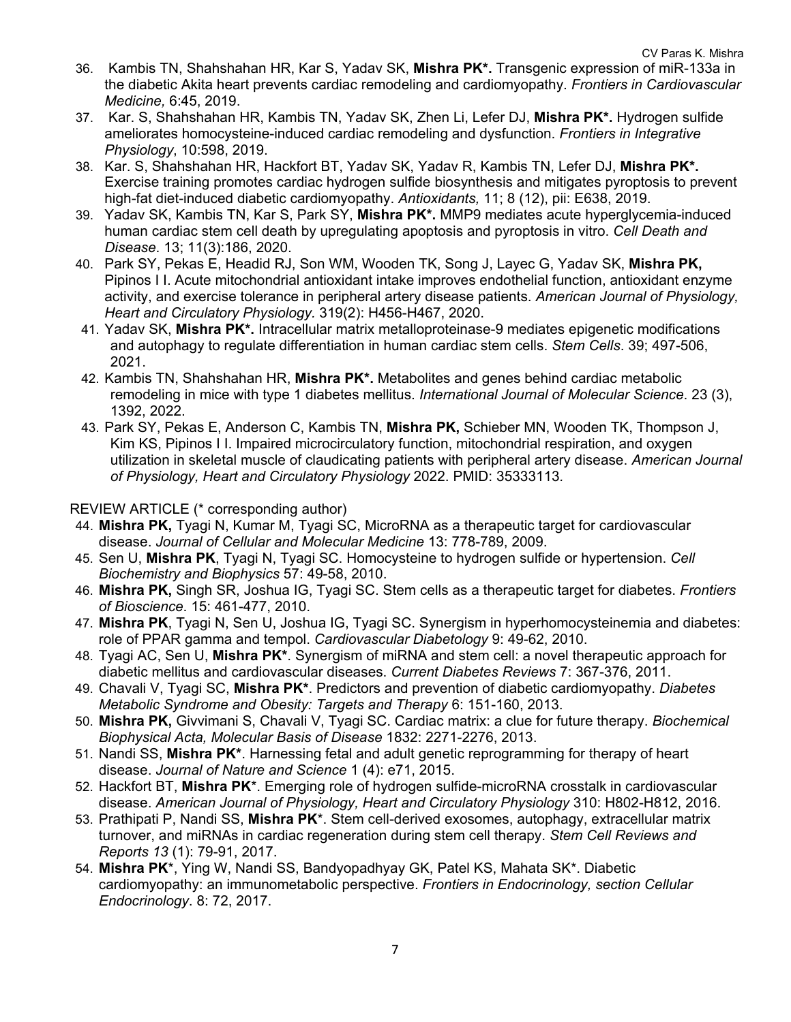- 36. Kambis TN, Shahshahan HR, Kar S, Yadav SK, **Mishra PK\*.** Transgenic expression of miR-133a in the diabetic Akita heart prevents cardiac remodeling and cardiomyopathy. *Frontiers in Cardiovascular Medicine,* 6:45, 2019.
- 37. Kar. S, Shahshahan HR, Kambis TN, Yadav SK, Zhen Li, Lefer DJ, **Mishra PK\*.** Hydrogen sulfide ameliorates homocysteine-induced cardiac remodeling and dysfunction. *Frontiers in Integrative Physiology*, 10:598, 2019.
- 38. Kar. S, Shahshahan HR, Hackfort BT, Yadav SK, Yadav R, Kambis TN, Lefer DJ, **Mishra PK\*.**  Exercise training promotes cardiac hydrogen sulfide biosynthesis and mitigates pyroptosis to prevent high-fat diet-induced diabetic cardiomyopathy. *Antioxidants,* 11; 8 (12), pii: E638, 2019.
- 39. Yadav SK, Kambis TN, Kar S, Park SY, **Mishra PK\*.** MMP9 mediates acute hyperglycemia-induced human cardiac stem cell death by upregulating apoptosis and pyroptosis in vitro. *Cell Death and Disease*. 13; 11(3):186, 2020.
- 40. Park SY, Pekas E, Headid RJ, Son WM, Wooden TK, Song J, Layec G, Yadav SK, **Mishra PK,** Pipinos I I. Acute mitochondrial antioxidant intake improves endothelial function, antioxidant enzyme activity, and exercise tolerance in peripheral artery disease patients. *American Journal of Physiology, Heart and Circulatory Physiology.* 319(2): H456-H467, 2020.
- 41. Yadav SK, **Mishra PK\*.** Intracellular matrix metalloproteinase-9 mediates epigenetic modifications and autophagy to regulate differentiation in human cardiac stem cells. *Stem Cells*. 39; 497-506, 2021.
- 42. Kambis TN, Shahshahan HR, **Mishra PK\*.** Metabolites and genes behind cardiac metabolic remodeling in mice with type 1 diabetes mellitus. *International Journal of Molecular Science*. 23 (3), 1392, 2022.
- 43. Park SY, Pekas E, Anderson C, Kambis TN, **Mishra PK,** Schieber MN, Wooden TK, Thompson J, Kim KS, Pipinos I I. Impaired microcirculatory function, mitochondrial respiration, and oxygen utilization in skeletal muscle of claudicating patients with peripheral artery disease. *American Journal of Physiology, Heart and Circulatory Physiology* 2022. PMID: 35333113*.*

REVIEW ARTICLE (\* corresponding author)

- 44. **Mishra PK,** Tyagi N, Kumar M, Tyagi SC, MicroRNA as a therapeutic target for cardiovascular disease. *Journal of Cellular and Molecular Medicine* 13: 778-789, 2009.
- 45. Sen U, **Mishra PK**, Tyagi N, Tyagi SC. Homocysteine to hydrogen sulfide or hypertension. *Cell Biochemistry and Biophysics* 57: 49-58, 2010.
- 46. **Mishra PK,** Singh SR, Joshua IG, Tyagi SC. Stem cells as a therapeutic target for diabetes. *Frontiers of Bioscience*. 15: 461-477, 2010.
- 47. **Mishra PK**, Tyagi N, Sen U, Joshua IG, Tyagi SC. Synergism in hyperhomocysteinemia and diabetes: role of PPAR gamma and tempol. *Cardiovascular Diabetology* 9: 49-62, 2010.
- 48. Tyagi AC, Sen U, **Mishra PK\***. Synergism of miRNA and stem cell: a novel therapeutic approach for diabetic mellitus and cardiovascular diseases. *Current Diabetes Reviews* 7: 367-376, 2011.
- 49. Chavali V, Tyagi SC, **Mishra PK\***. Predictors and prevention of diabetic cardiomyopathy. *Diabetes Metabolic Syndrome and Obesity: Targets and Therapy* 6: 151-160, 2013.
- 50. **Mishra PK,** Givvimani S, Chavali V, Tyagi SC. Cardiac matrix: a clue for future therapy. *Biochemical Biophysical Acta, Molecular Basis of Disease* 1832: 2271-2276, 2013.
- 51. Nandi SS, **Mishra PK\***. Harnessing fetal and adult genetic reprogramming for therapy of heart disease. *Journal of Nature and Science* 1 (4): e71, 2015.
- 52. Hackfort BT, **Mishra PK**\*. Emerging role of hydrogen sulfide-microRNA crosstalk in cardiovascular disease. *American Journal of Physiology, Heart and Circulatory Physiology* 310: H802-H812, 2016.
- 53. Prathipati P, Nandi SS, **Mishra PK**\*. Stem cell-derived exosomes, autophagy, extracellular matrix turnover, and miRNAs in cardiac regeneration during stem cell therapy. *Stem Cell Reviews and Reports 13* (1): 79-91, 2017.
- 54. **Mishra PK**\*, Ying W, Nandi SS, Bandyopadhyay GK, Patel KS, Mahata SK\*. Diabetic cardiomyopathy: an immunometabolic perspective. *Frontiers in Endocrinology, section Cellular Endocrinology*. 8: 72, 2017.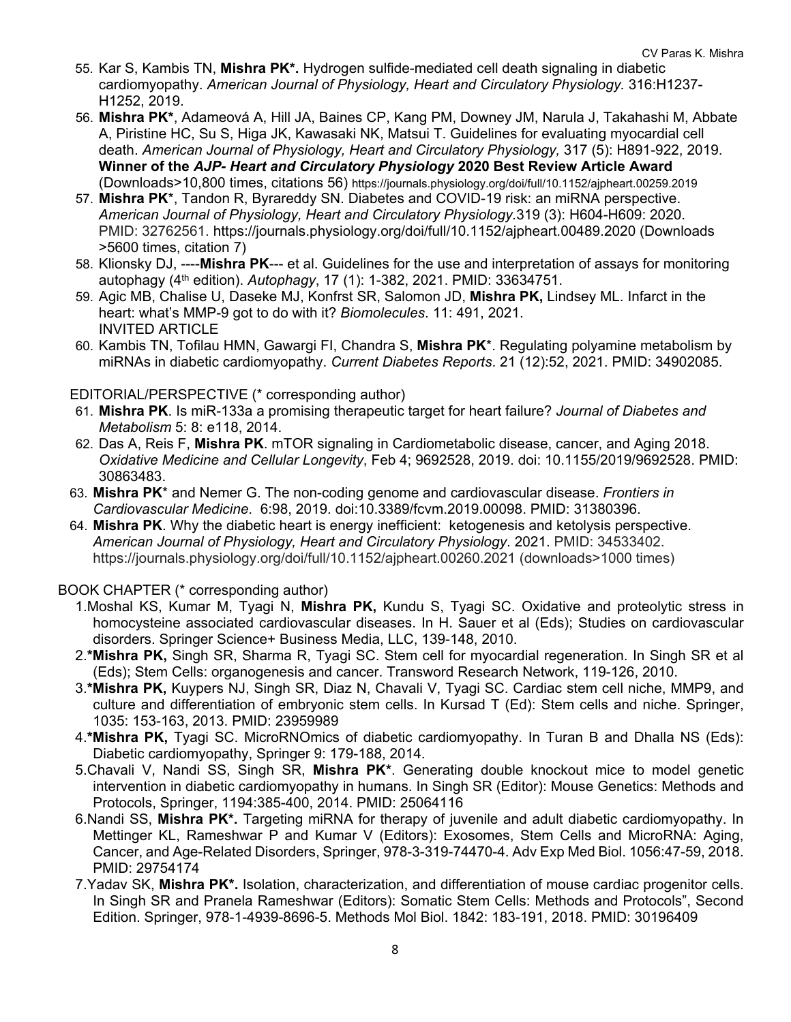- 55. Kar S, Kambis TN, **Mishra PK\*.** Hydrogen sulfide-mediated cell death signaling in diabetic cardiomyopathy. *American Journal of Physiology, Heart and Circulatory Physiology.* 316:H1237- H1252, 2019.
- 56. **Mishra PK\***, Adameová A, Hill JA, Baines CP, Kang PM, Downey JM, Narula J, Takahashi M, Abbate A, Piristine HC, Su S, Higa JK, Kawasaki NK, Matsui T. Guidelines for evaluating myocardial cell death. *American Journal of Physiology, Heart and Circulatory Physiology,* 317 (5): H891-922, 2019. **Winner of the** *AJP- Heart and Circulatory Physiology* **2020 Best Review Article Award** (Downloads>10,800 times, citations 56) https://journals.physiology.org/doi/full/10.1152/ajpheart.00259.2019
- 57. **Mishra PK**\*, Tandon R, Byrareddy SN. Diabetes and COVID-19 risk: an miRNA perspective. *American Journal of Physiology, Heart and Circulatory Physiology.*319 (3): H604-H609: 2020. PMID: 32762561. https://journals.physiology.org/doi/full/10.1152/ajpheart.00489.2020 (Downloads >5600 times, citation 7)
- 58. Klionsky DJ, ----**Mishra PK**--- et al. Guidelines for the use and interpretation of assays for monitoring autophagy (4th edition). *Autophagy*, 17 (1): 1-382, 2021. PMID: 33634751.
- 59. Agic MB, Chalise U, Daseke MJ, Konfrst SR, Salomon JD, **Mishra PK,** Lindsey ML. Infarct in the heart: what's MMP-9 got to do with it? *Biomolecules*. 11: 491, 2021. INVITED ARTICLE
- 60. Kambis TN, Tofilau HMN, Gawargi FI, Chandra S, **Mishra PK**\*. Regulating polyamine metabolism by miRNAs in diabetic cardiomyopathy. *Current Diabetes Reports*. 21 (12):52, 2021. PMID: 34902085.

### EDITORIAL/PERSPECTIVE (\* corresponding author)

- 61. **Mishra PK**. Is miR-133a a promising therapeutic target for heart failure? *Journal of Diabetes and Metabolism* 5: 8: e118, 2014.
- 62. Das A, Reis F, **Mishra PK**. mTOR signaling in Cardiometabolic disease, cancer, and Aging 2018. *Oxidative Medicine and Cellular Longevity*, Feb 4; 9692528, 2019. doi: 10.1155/2019/9692528. PMID: 30863483.
- 63. **Mishra PK**\* and Nemer G. The non-coding genome and cardiovascular disease. *Frontiers in Cardiovascular Medicine*. 6:98, 2019. doi:10.3389/fcvm.2019.00098. PMID: 31380396.
- 64. **Mishra PK**. Why the diabetic heart is energy inefficient: ketogenesis and ketolysis perspective. *American Journal of Physiology, Heart and Circulatory Physiology*. 2021. PMID: 34533402. https://journals.physiology.org/doi/full/10.1152/ajpheart.00260.2021 (downloads>1000 times)

#### BOOK CHAPTER (\* corresponding author)

- 1.Moshal KS, Kumar M, Tyagi N, **Mishra PK,** Kundu S, Tyagi SC. Oxidative and proteolytic stress in homocysteine associated cardiovascular diseases. In H. Sauer et al (Eds); Studies on cardiovascular disorders. Springer Science+ Business Media, LLC, 139-148, 2010.
- 2.**\*Mishra PK,** Singh SR, Sharma R, Tyagi SC. Stem cell for myocardial regeneration. In Singh SR et al (Eds); Stem Cells: organogenesis and cancer. Transword Research Network, 119-126, 2010.
- 3.**\*Mishra PK,** Kuypers NJ, Singh SR, Diaz N, Chavali V, Tyagi SC. Cardiac stem cell niche, MMP9, and culture and differentiation of embryonic stem cells. In Kursad T (Ed): Stem cells and niche. Springer, 1035: 153-163, 2013. PMID: 23959989
- 4.**\*Mishra PK,** Tyagi SC. MicroRNOmics of diabetic cardiomyopathy. In Turan B and Dhalla NS (Eds): Diabetic cardiomyopathy, Springer 9: 179-188, 2014.
- 5.Chavali V, Nandi SS, Singh SR, **Mishra PK\***. Generating double knockout mice to model genetic intervention in diabetic cardiomyopathy in humans. In Singh SR (Editor): Mouse Genetics: Methods and Protocols, Springer, 1194:385-400, 2014. PMID: 25064116
- 6.Nandi SS, **Mishra PK\*.** Targeting miRNA for therapy of juvenile and adult diabetic cardiomyopathy. In Mettinger KL, Rameshwar P and Kumar V (Editors): Exosomes, Stem Cells and MicroRNA: Aging, Cancer, and Age-Related Disorders, Springer, 978-3-319-74470-4. Adv Exp Med Biol. 1056:47-59, 2018. PMID: 29754174
- 7.Yadav SK, **Mishra PK\*.** Isolation, characterization, and differentiation of mouse cardiac progenitor cells. In Singh SR and Pranela Rameshwar (Editors): Somatic Stem Cells: Methods and Protocols", Second Edition. Springer, 978-1-4939-8696-5. Methods Mol Biol. 1842: 183-191, 2018. PMID: 30196409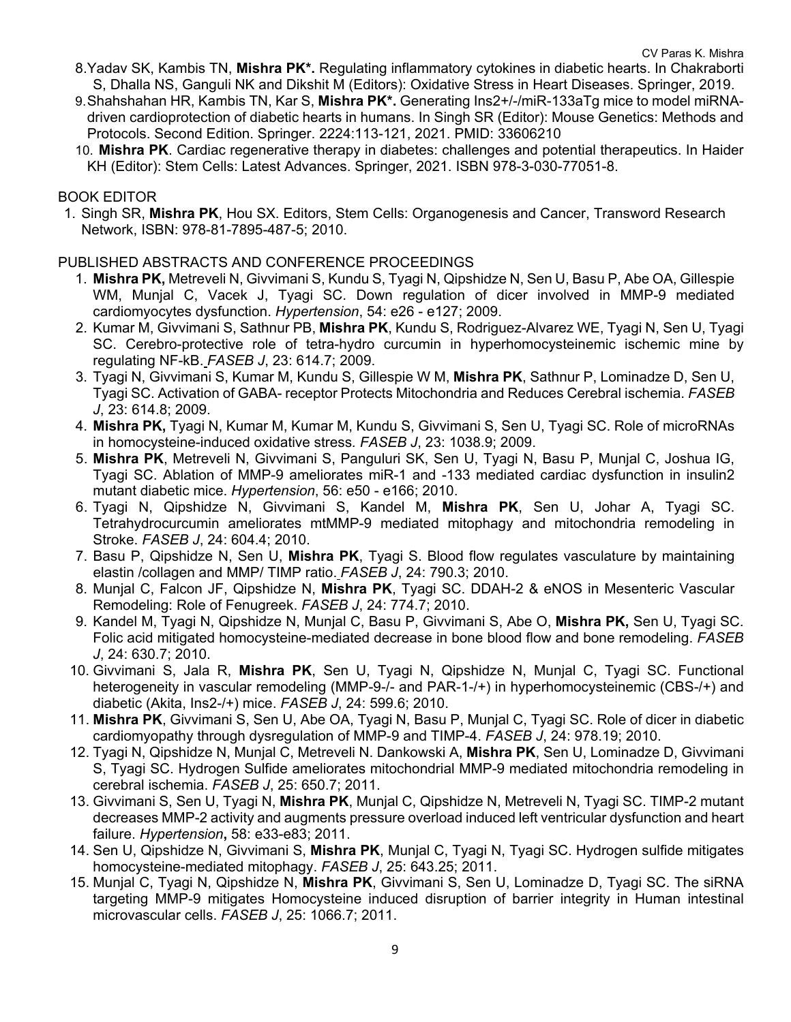- 8.Yadav SK, Kambis TN, **Mishra PK\*.** Regulating inflammatory cytokines in diabetic hearts. In Chakraborti S, Dhalla NS, Ganguli NK and Dikshit M (Editors): Oxidative Stress in Heart Diseases. Springer, 2019.
- 9.Shahshahan HR, Kambis TN, Kar S, **Mishra PK\*.** Generating Ins2+/-/miR-133aTg mice to model miRNAdriven cardioprotection of diabetic hearts in humans. In Singh SR (Editor): Mouse Genetics: Methods and Protocols. Second Edition. Springer. 2224:113-121, 2021. PMID: 33606210
- 10. **Mishra PK**. Cardiac regenerative therapy in diabetes: challenges and potential therapeutics. In Haider KH (Editor): Stem Cells: Latest Advances. Springer, 2021. ISBN 978-3-030-77051-8.

#### BOOK EDITOR

1. Singh SR, **Mishra PK**, Hou SX. Editors, Stem Cells: Organogenesis and Cancer, Transword Research Network, ISBN: 978-81-7895-487-5; 2010.

#### PUBLISHED ABSTRACTS AND CONFERENCE PROCEEDINGS

- 1. **Mishra PK,** Metreveli N, Givvimani S, Kundu S, Tyagi N, Qipshidze N, Sen U, Basu P, Abe OA, Gillespie WM, Munjal C, Vacek J, Tyagi SC. Down regulation of dicer involved in MMP-9 mediated cardiomyocytes dysfunction. *Hypertension*, 54: e26 - e127; 2009.
- 2. Kumar M, Givvimani S, Sathnur PB, **Mishra PK**, Kundu S, Rodriguez-Alvarez WE, Tyagi N, Sen U, Tyagi SC. Cerebro-protective role of tetra-hydro curcumin in hyperhomocysteinemic ischemic mine by regulating NF-kB. *FASEB J*, 23: 614.7; 2009.
- 3. Tyagi N, Givvimani S, Kumar M, Kundu S, Gillespie W M, **Mishra PK**, Sathnur P, Lominadze D, Sen U, Tyagi SC. Activation of GABA- receptor Protects Mitochondria and Reduces Cerebral ischemia. *FASEB J*, 23: 614.8; 2009.
- 4. **Mishra PK,** Tyagi N, Kumar M, Kumar M, Kundu S, Givvimani S, Sen U, Tyagi SC. Role of microRNAs in homocysteine-induced oxidative stress*. FASEB J*, 23: 1038.9; 2009.
- 5. **Mishra PK**, Metreveli N, Givvimani S, Panguluri SK, Sen U, Tyagi N, Basu P, Munjal C, Joshua IG, Tyagi SC. Ablation of MMP-9 ameliorates miR-1 and -133 mediated cardiac dysfunction in insulin2 mutant diabetic mice. *Hypertension*, 56: e50 - e166; 2010.
- 6. Tyagi N, Qipshidze N, Givvimani S, Kandel M, **Mishra PK**, Sen U, Johar A, Tyagi SC. Tetrahydrocurcumin ameliorates mtMMP-9 mediated mitophagy and mitochondria remodeling in Stroke. *FASEB J*, 24: 604.4; 2010.
- 7. Basu P, Qipshidze N, Sen U, **Mishra PK**, Tyagi S. Blood flow regulates vasculature by maintaining elastin /collagen and MMP/ TIMP ratio. *FASEB J*, 24: 790.3; 2010.
- 8. Munjal C, Falcon JF, Qipshidze N, **Mishra PK**, Tyagi SC. DDAH-2 & eNOS in Mesenteric Vascular Remodeling: Role of Fenugreek. *FASEB J*, 24: 774.7; 2010.
- 9. Kandel M, Tyagi N, Qipshidze N, Munjal C, Basu P, Givvimani S, Abe O, **Mishra PK,** Sen U, Tyagi SC. Folic acid mitigated homocysteine-mediated decrease in bone blood flow and bone remodeling. *FASEB J*, 24: 630.7; 2010.
- 10. Givvimani S, Jala R, **Mishra PK**, Sen U, Tyagi N, Qipshidze N, Munjal C, Tyagi SC. Functional heterogeneity in vascular remodeling (MMP-9-/- and PAR-1-/+) in hyperhomocysteinemic (CBS-/+) and diabetic (Akita, Ins2-/+) mice. *FASEB J*, 24: 599.6; 2010.
- 11. **Mishra PK**, Givvimani S, Sen U, Abe OA, Tyagi N, Basu P, Munjal C, Tyagi SC. Role of dicer in diabetic cardiomyopathy through dysregulation of MMP-9 and TIMP-4. *FASEB J*, 24: 978.19; 2010.
- 12. Tyagi N, Qipshidze N, Munjal C, Metreveli N. Dankowski A, **Mishra PK**, Sen U, Lominadze D, Givvimani S, Tyagi SC. Hydrogen Sulfide ameliorates mitochondrial MMP-9 mediated mitochondria remodeling in cerebral ischemia. *FASEB J*, 25: 650.7; 2011.
- 13. Givvimani S, Sen U, Tyagi N, **Mishra PK**, Munjal C, Qipshidze N, Metreveli N, Tyagi SC. TIMP-2 mutant decreases MMP-2 activity and augments pressure overload induced left ventricular dysfunction and heart failure. *Hypertension***,** 58: e33-e83; 2011.
- 14. Sen U, Qipshidze N, Givvimani S, **Mishra PK**, Munjal C, Tyagi N, Tyagi SC. Hydrogen sulfide mitigates homocysteine-mediated mitophagy. *FASEB J*, 25: 643.25; 2011.
- 15. Munjal C, Tyagi N, Qipshidze N, **Mishra PK**, Givvimani S, Sen U, Lominadze D, Tyagi SC. The siRNA targeting MMP-9 mitigates Homocysteine induced disruption of barrier integrity in Human intestinal microvascular cells. *FASEB J*, 25: 1066.7; 2011.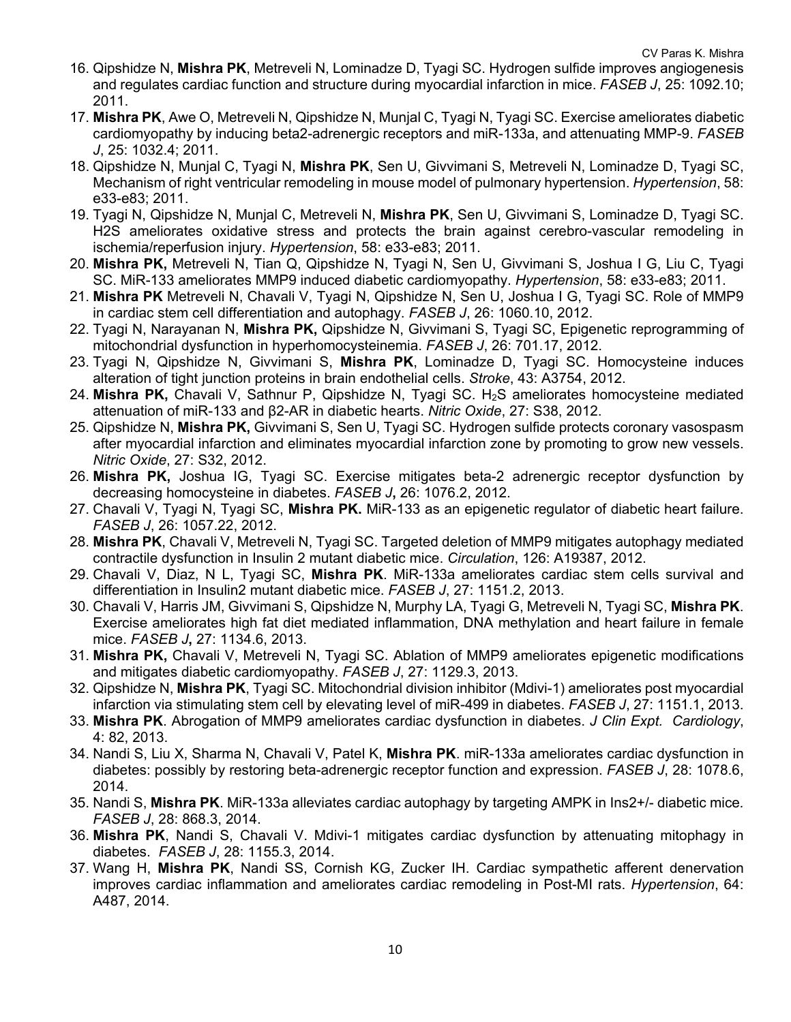- 16. Qipshidze N, **Mishra PK**, Metreveli N, Lominadze D, Tyagi SC. Hydrogen sulfide improves angiogenesis and regulates cardiac function and structure during myocardial infarction in mice. *FASEB J*, 25: 1092.10; 2011.
- 17. **Mishra PK**, Awe O, Metreveli N, Qipshidze N, Munjal C, Tyagi N, Tyagi SC. Exercise ameliorates diabetic cardiomyopathy by inducing beta2-adrenergic receptors and miR-133a, and attenuating MMP-9. *FASEB J*, 25: 1032.4; 2011.
- 18. Qipshidze N, Munjal C, Tyagi N, **Mishra PK**, Sen U, Givvimani S, Metreveli N, Lominadze D, Tyagi SC, Mechanism of right ventricular remodeling in mouse model of pulmonary hypertension. *Hypertension*, 58: e33-e83; 2011.
- 19. Tyagi N, Qipshidze N, Munjal C, Metreveli N, **Mishra PK**, Sen U, Givvimani S, Lominadze D, Tyagi SC. H2S ameliorates oxidative stress and protects the brain against cerebro-vascular remodeling in ischemia/reperfusion injury. *Hypertension*, 58: e33-e83; 2011.
- 20. **Mishra PK,** Metreveli N, Tian Q, Qipshidze N, Tyagi N, Sen U, Givvimani S, Joshua I G, Liu C, Tyagi SC. MiR-133 ameliorates MMP9 induced diabetic cardiomyopathy. *Hypertension*, 58: e33-e83; 2011.
- 21. **Mishra PK** Metreveli N, Chavali V, Tyagi N, Qipshidze N, Sen U, Joshua I G, Tyagi SC. Role of MMP9 in cardiac stem cell differentiation and autophagy. *FASEB J*, 26: 1060.10, 2012.
- 22. Tyagi N, Narayanan N, **Mishra PK,** Qipshidze N, Givvimani S, Tyagi SC, Epigenetic reprogramming of mitochondrial dysfunction in hyperhomocysteinemia. *FASEB J*, 26: 701.17, 2012.
- 23. Tyagi N, Qipshidze N, Givvimani S, **Mishra PK**, Lominadze D, Tyagi SC. Homocysteine induces alteration of tight junction proteins in brain endothelial cells. *Stroke*, 43: A3754, 2012.
- 24. **Mishra PK,** Chavali V, Sathnur P, Qipshidze N, Tyagi SC. H2S ameliorates homocysteine mediated attenuation of miR-133 and β2-AR in diabetic hearts. *Nitric Oxide*, 27: S38, 2012.
- 25. Qipshidze N, **Mishra PK,** Givvimani S, Sen U, Tyagi SC. Hydrogen sulfide protects coronary vasospasm after myocardial infarction and eliminates myocardial infarction zone by promoting to grow new vessels. *Nitric Oxide*, 27: S32, 2012.
- 26. **Mishra PK,** Joshua IG, Tyagi SC. Exercise mitigates beta-2 adrenergic receptor dysfunction by decreasing homocysteine in diabetes. *FASEB J***,** 26: 1076.2, 2012.
- 27. Chavali V, Tyagi N, Tyagi SC, **Mishra PK.** MiR-133 as an epigenetic regulator of diabetic heart failure. *FASEB J*, 26: 1057.22, 2012.
- 28. **Mishra PK**, Chavali V, Metreveli N, Tyagi SC. Targeted deletion of MMP9 mitigates autophagy mediated contractile dysfunction in Insulin 2 mutant diabetic mice. *Circulation*, 126: A19387, 2012.
- 29. Chavali V, Diaz, N L, Tyagi SC, **Mishra PK**. MiR-133a ameliorates cardiac stem cells survival and differentiation in Insulin2 mutant diabetic mice. *FASEB J*, 27: 1151.2, 2013.
- 30. Chavali V, Harris JM, Givvimani S, Qipshidze N, Murphy LA, Tyagi G, Metreveli N, Tyagi SC, **Mishra PK**. Exercise ameliorates high fat diet mediated inflammation, DNA methylation and heart failure in female mice. *FASEB J***,** 27: 1134.6, 2013.
- 31. **Mishra PK,** Chavali V, Metreveli N, Tyagi SC. Ablation of MMP9 ameliorates epigenetic modifications and mitigates diabetic cardiomyopathy. *FASEB J*, 27: 1129.3, 2013.
- 32. Qipshidze N, **Mishra PK**, Tyagi SC. Mitochondrial division inhibitor (Mdivi-1) ameliorates post myocardial infarction via stimulating stem cell by elevating level of miR-499 in diabetes. *FASEB J*, 27: 1151.1, 2013.
- 33. **Mishra PK**. Abrogation of MMP9 ameliorates cardiac dysfunction in diabetes. *J Clin Expt. Cardiology*, 4: 82, 2013.
- 34. Nandi S, Liu X, Sharma N, Chavali V, Patel K, **Mishra PK**. miR-133a ameliorates cardiac dysfunction in diabetes: possibly by restoring beta-adrenergic receptor function and expression. *FASEB J*, 28: 1078.6, 2014.
- 35. Nandi S, **Mishra PK**. MiR-133a alleviates cardiac autophagy by targeting AMPK in Ins2+/- diabetic mice*. FASEB J*, 28: 868.3, 2014.
- 36. **Mishra PK**, Nandi S, Chavali V. Mdivi-1 mitigates cardiac dysfunction by attenuating mitophagy in diabetes. *FASEB J*, 28: 1155.3, 2014.
- 37. Wang H, **Mishra PK**, Nandi SS, Cornish KG, Zucker IH. Cardiac sympathetic afferent denervation improves cardiac inflammation and ameliorates cardiac remodeling in Post-MI rats. *Hypertension*, 64: A487, 2014.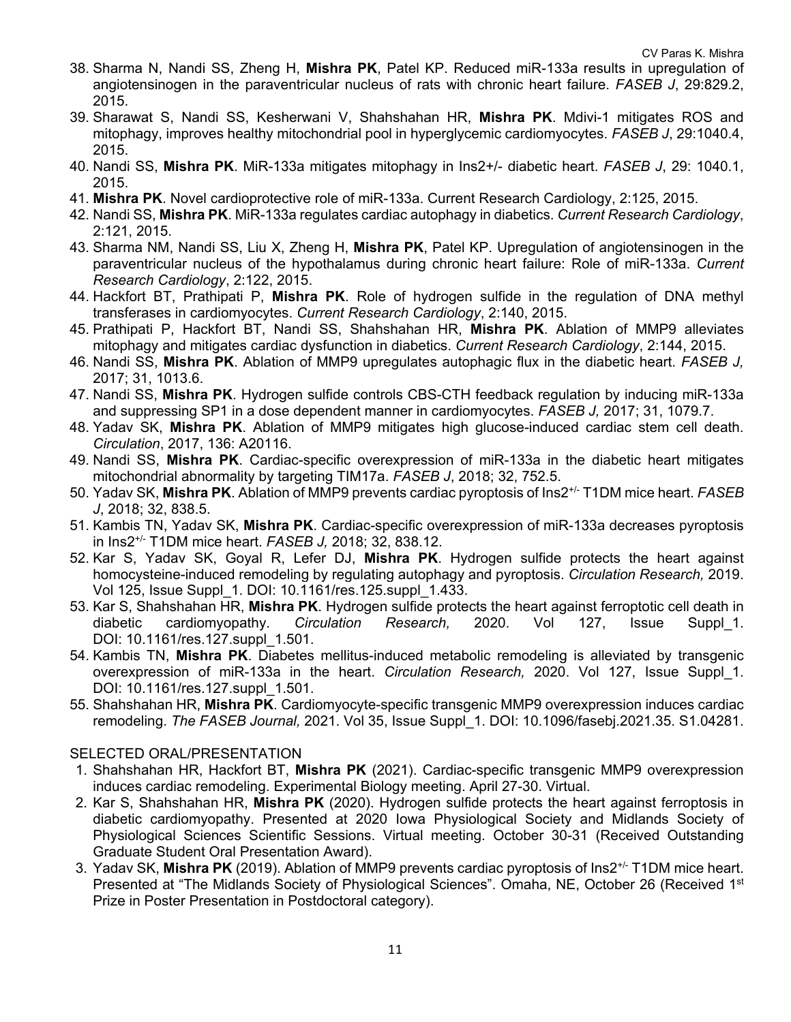- 38. Sharma N, Nandi SS, Zheng H, **Mishra PK**, Patel KP. Reduced miR-133a results in upregulation of angiotensinogen in the paraventricular nucleus of rats with chronic heart failure. *FASEB J*, 29:829.2, 2015.
- 39. Sharawat S, Nandi SS, Kesherwani V, Shahshahan HR, **Mishra PK**. Mdivi-1 mitigates ROS and mitophagy, improves healthy mitochondrial pool in hyperglycemic cardiomyocytes. *FASEB J*, 29:1040.4, 2015.
- 40. Nandi SS, **Mishra PK**. MiR-133a mitigates mitophagy in Ins2+/- diabetic heart. *FASEB J*, 29: 1040.1, 2015.
- 41. **Mishra PK**. Novel cardioprotective role of miR-133a. Current Research Cardiology, 2:125, 2015.
- 42. Nandi SS, **Mishra PK**. MiR-133a regulates cardiac autophagy in diabetics. *Current Research Cardiology*, 2:121, 2015.
- 43. Sharma NM, Nandi SS, Liu X, Zheng H, **Mishra PK**, Patel KP. Upregulation of angiotensinogen in the paraventricular nucleus of the hypothalamus during chronic heart failure: Role of miR-133a. *Current Research Cardiology*, 2:122, 2015.
- 44. Hackfort BT, Prathipati P, **Mishra PK**. Role of hydrogen sulfide in the regulation of DNA methyl transferases in cardiomyocytes. *Current Research Cardiology*, 2:140, 2015.
- 45. Prathipati P, Hackfort BT, Nandi SS, Shahshahan HR, **Mishra PK**. Ablation of MMP9 alleviates mitophagy and mitigates cardiac dysfunction in diabetics. *Current Research Cardiology*, 2:144, 2015.
- 46. Nandi SS, **Mishra PK**. Ablation of MMP9 upregulates autophagic flux in the diabetic heart. *FASEB J,* 2017; 31, 1013.6.
- 47. Nandi SS, **Mishra PK**. Hydrogen sulfide controls CBS-CTH feedback regulation by inducing miR-133a and suppressing SP1 in a dose dependent manner in cardiomyocytes. *FASEB J,* 2017; 31, 1079.7.
- 48. Yadav SK, **Mishra PK**. Ablation of MMP9 mitigates high glucose-induced cardiac stem cell death. *Circulation*, 2017, 136: A20116.
- 49. Nandi SS, **Mishra PK**. Cardiac-specific overexpression of miR-133a in the diabetic heart mitigates mitochondrial abnormality by targeting TIM17a. *FASEB J*, 2018; 32, 752.5.
- 50. Yadav SK, **Mishra PK**. Ablation of MMP9 prevents cardiac pyroptosis of Ins2+/- T1DM mice heart. *FASEB J*, 2018; 32, 838.5.
- 51. Kambis TN, Yadav SK, **Mishra PK**. Cardiac-specific overexpression of miR-133a decreases pyroptosis in Ins2+/- T1DM mice heart. *FASEB J,* 2018; 32, 838.12.
- 52. Kar S, Yadav SK, Goyal R, Lefer DJ, **Mishra PK**. Hydrogen sulfide protects the heart against homocysteine-induced remodeling by regulating autophagy and pyroptosis. *Circulation Research,* 2019. Vol 125, Issue Suppl\_1. DOI: 10.1161/res.125.suppl\_1.433.
- 53. Kar S, Shahshahan HR, **Mishra PK**. Hydrogen sulfide protects the heart against ferroptotic cell death in diabetic cardiomyopathy. *Circulation Research,* 2020. Vol 127, Issue Suppl\_1. DOI: 10.1161/res.127.suppl\_1.501.
- 54. Kambis TN, **Mishra PK**. Diabetes mellitus-induced metabolic remodeling is alleviated by transgenic overexpression of miR-133a in the heart. *Circulation Research,* 2020. Vol 127, Issue Suppl\_1. DOI: 10.1161/res.127.suppl\_1.501.
- 55. Shahshahan HR, **Mishra PK**. Cardiomyocyte-specific transgenic MMP9 overexpression induces cardiac remodeling. *The FASEB Journal,* 2021. Vol 35, Issue Suppl\_1. DOI: 10.1096/fasebj.2021.35. S1.04281.

## SELECTED ORAL/PRESENTATION

- 1. Shahshahan HR, Hackfort BT, **Mishra PK** (2021). Cardiac-specific transgenic MMP9 overexpression induces cardiac remodeling. Experimental Biology meeting. April 27-30. Virtual.
- 2. Kar S, Shahshahan HR, **Mishra PK** (2020). Hydrogen sulfide protects the heart against ferroptosis in diabetic cardiomyopathy. Presented at 2020 Iowa Physiological Society and Midlands Society of Physiological Sciences Scientific Sessions. Virtual meeting. October 30-31 (Received Outstanding Graduate Student Oral Presentation Award).
- 3. Yadav SK, **Mishra PK** (2019). Ablation of MMP9 prevents cardiac pyroptosis of Ins2+/- T1DM mice heart. Presented at "The Midlands Society of Physiological Sciences". Omaha, NE, October 26 (Received 1<sup>st</sup> Prize in Poster Presentation in Postdoctoral category).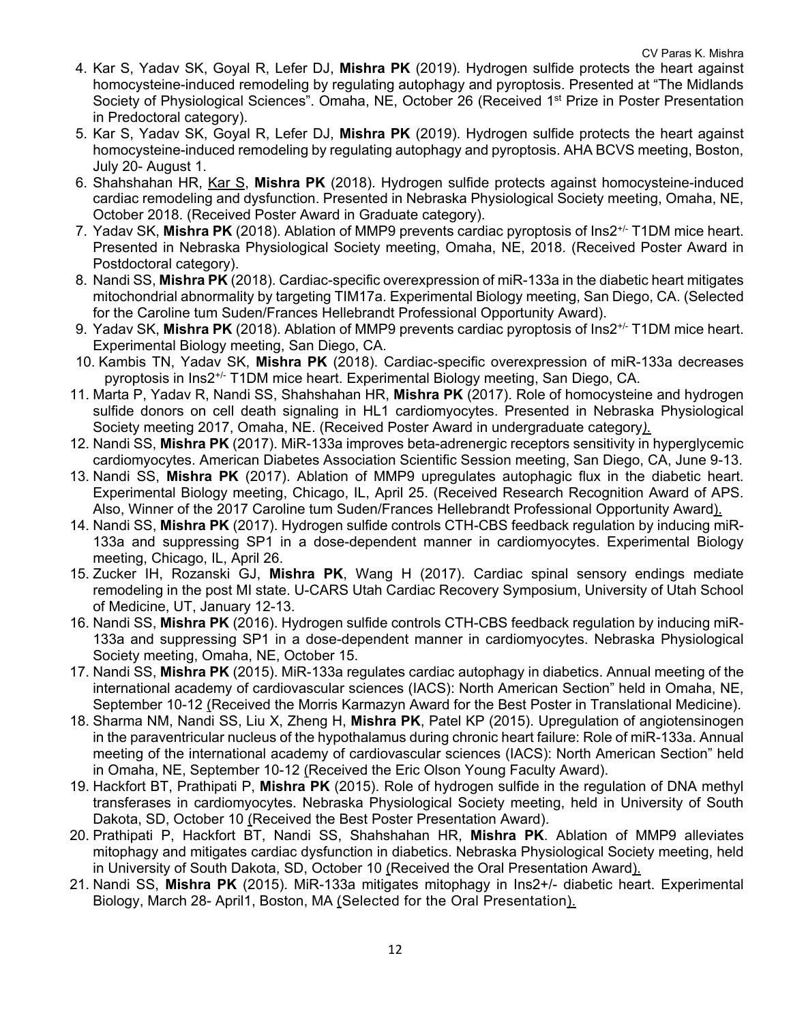- 4. Kar S, Yadav SK, Goyal R, Lefer DJ, **Mishra PK** (2019). Hydrogen sulfide protects the heart against homocysteine-induced remodeling by regulating autophagy and pyroptosis. Presented at "The Midlands Society of Physiological Sciences". Omaha, NE, October 26 (Received 1<sup>st</sup> Prize in Poster Presentation in Predoctoral category).
- 5. Kar S, Yadav SK, Goyal R, Lefer DJ, **Mishra PK** (2019). Hydrogen sulfide protects the heart against homocysteine-induced remodeling by regulating autophagy and pyroptosis. AHA BCVS meeting, Boston, July 20- August 1.
- 6. Shahshahan HR, Kar S, **Mishra PK** (2018). Hydrogen sulfide protects against homocysteine-induced cardiac remodeling and dysfunction. Presented in Nebraska Physiological Society meeting, Omaha, NE, October 2018. (Received Poster Award in Graduate category).
- 7. Yadav SK, **Mishra PK** (2018). Ablation of MMP9 prevents cardiac pyroptosis of Ins2+/- T1DM mice heart. Presented in Nebraska Physiological Society meeting, Omaha, NE, 2018. (Received Poster Award in Postdoctoral category).
- 8. Nandi SS, **Mishra PK** (2018). Cardiac-specific overexpression of miR-133a in the diabetic heart mitigates mitochondrial abnormality by targeting TIM17a. Experimental Biology meeting, San Diego, CA. (Selected for the Caroline tum Suden/Frances Hellebrandt Professional Opportunity Award).
- 9. Yadav SK, **Mishra PK** (2018). Ablation of MMP9 prevents cardiac pyroptosis of Ins2+/- T1DM mice heart. Experimental Biology meeting, San Diego, CA.
- 10. Kambis TN, Yadav SK, **Mishra PK** (2018). Cardiac-specific overexpression of miR-133a decreases pyroptosis in Ins2+/- T1DM mice heart. Experimental Biology meeting, San Diego, CA.
- 11. Marta P, Yadav R, Nandi SS, Shahshahan HR, **Mishra PK** (2017). Role of homocysteine and hydrogen sulfide donors on cell death signaling in HL1 cardiomyocytes. Presented in Nebraska Physiological Society meeting 2017, Omaha, NE. (Received Poster Award in undergraduate category*).*
- 12. Nandi SS, **Mishra PK** (2017). MiR-133a improves beta-adrenergic receptors sensitivity in hyperglycemic cardiomyocytes. American Diabetes Association Scientific Session meeting, San Diego, CA, June 9-13.
- 13. Nandi SS, **Mishra PK** (2017). Ablation of MMP9 upregulates autophagic flux in the diabetic heart. Experimental Biology meeting, Chicago, IL, April 25. (Received Research Recognition Award of APS. Also, Winner of the 2017 Caroline tum Suden/Frances Hellebrandt Professional Opportunity Award).
- 14. Nandi SS, **Mishra PK** (2017). Hydrogen sulfide controls CTH-CBS feedback regulation by inducing miR-133a and suppressing SP1 in a dose-dependent manner in cardiomyocytes. Experimental Biology meeting, Chicago, IL, April 26.
- 15. Zucker IH, Rozanski GJ, **Mishra PK**, Wang H (2017). Cardiac spinal sensory endings mediate remodeling in the post MI state. U-CARS Utah Cardiac Recovery Symposium, University of Utah School of Medicine, UT, January 12-13.
- 16. Nandi SS, **Mishra PK** (2016). Hydrogen sulfide controls CTH-CBS feedback regulation by inducing miR-133a and suppressing SP1 in a dose-dependent manner in cardiomyocytes. Nebraska Physiological Society meeting, Omaha, NE, October 15.
- 17. Nandi SS, **Mishra PK** (2015). MiR-133a regulates cardiac autophagy in diabetics. Annual meeting of the international academy of cardiovascular sciences (IACS): North American Section" held in Omaha, NE, September 10-12 (Received the Morris Karmazyn Award for the Best Poster in Translational Medicine).
- 18. Sharma NM, Nandi SS, Liu X, Zheng H, **Mishra PK**, Patel KP (2015). Upregulation of angiotensinogen in the paraventricular nucleus of the hypothalamus during chronic heart failure: Role of miR-133a. Annual meeting of the international academy of cardiovascular sciences (IACS): North American Section" held in Omaha, NE, September 10-12 (Received the Eric Olson Young Faculty Award).
- 19. Hackfort BT, Prathipati P, **Mishra PK** (2015). Role of hydrogen sulfide in the regulation of DNA methyl transferases in cardiomyocytes. Nebraska Physiological Society meeting, held in University of South Dakota, SD, October 10 (Received the Best Poster Presentation Award).
- 20. Prathipati P, Hackfort BT, Nandi SS, Shahshahan HR, **Mishra PK**. Ablation of MMP9 alleviates mitophagy and mitigates cardiac dysfunction in diabetics. Nebraska Physiological Society meeting, held in University of South Dakota, SD, October 10 (Received the Oral Presentation Award).
- 21. Nandi SS, **Mishra PK** (2015). MiR-133a mitigates mitophagy in Ins2+/- diabetic heart. Experimental Biology, March 28- April1, Boston, MA (Selected for the Oral Presentation).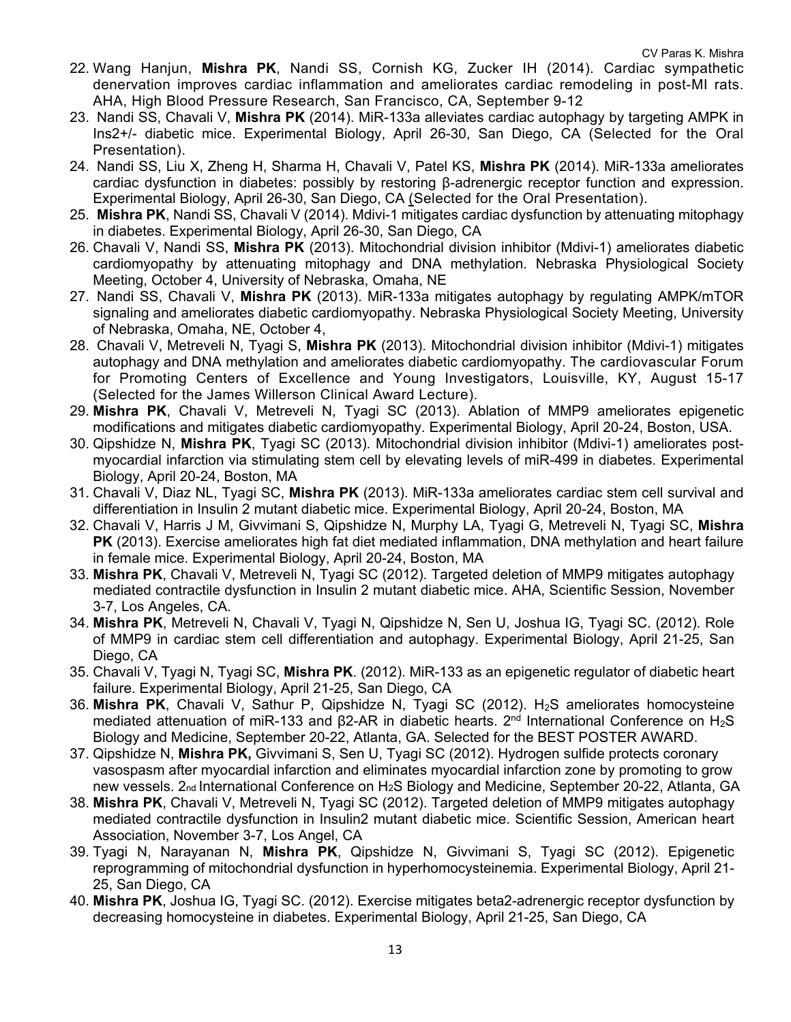- 22. Wang Hanjun, **Mishra PK**, Nandi SS, Cornish KG, Zucker IH (2014). Cardiac sympathetic denervation improves cardiac inflammation and ameliorates cardiac remodeling in post-MI rats. AHA, High Blood Pressure Research, San Francisco, CA, September 9-12
- 23. Nandi SS, Chavali V, **Mishra PK** (2014). MiR-133a alleviates cardiac autophagy by targeting AMPK in Ins2+/- diabetic mice. Experimental Biology, April 26-30, San Diego, CA (Selected for the Oral Presentation).
- 24. Nandi SS, Liu X, Zheng H, Sharma H, Chavali V, Patel KS, **Mishra PK** (2014). MiR-133a ameliorates cardiac dysfunction in diabetes: possibly by restoring β-adrenergic receptor function and expression. Experimental Biology, April 26-30, San Diego, CA (Selected for the Oral Presentation).
- 25. **Mishra PK**, Nandi SS, Chavali V (2014). Mdivi-1 mitigates cardiac dysfunction by attenuating mitophagy in diabetes. Experimental Biology, April 26-30, San Diego, CA
- 26. Chavali V, Nandi SS, **Mishra PK** (2013). Mitochondrial division inhibitor (Mdivi-1) ameliorates diabetic cardiomyopathy by attenuating mitophagy and DNA methylation. Nebraska Physiological Society Meeting, October 4, University of Nebraska, Omaha, NE
- 27. Nandi SS, Chavali V, **Mishra PK** (2013). MiR-133a mitigates autophagy by regulating AMPK/mTOR signaling and ameliorates diabetic cardiomyopathy. Nebraska Physiological Society Meeting, University of Nebraska, Omaha, NE, October 4,
- 28. Chavali V, Metreveli N, Tyagi S, **Mishra PK** (2013). Mitochondrial division inhibitor (Mdivi-1) mitigates autophagy and DNA methylation and ameliorates diabetic cardiomyopathy. The cardiovascular Forum for Promoting Centers of Excellence and Young Investigators, Louisville, KY, August 15-17 (Selected for the James Willerson Clinical Award Lecture).
- 29. **Mishra PK**, Chavali V, Metreveli N, Tyagi SC (2013). Ablation of MMP9 ameliorates epigenetic modifications and mitigates diabetic cardiomyopathy. Experimental Biology, April 20-24, Boston, USA.
- 30. Qipshidze N, **Mishra PK**, Tyagi SC (2013). Mitochondrial division inhibitor (Mdivi-1) ameliorates postmyocardial infarction via stimulating stem cell by elevating levels of miR-499 in diabetes. Experimental Biology, April 20-24, Boston, MA
- 31. Chavali V, Diaz NL, Tyagi SC, **Mishra PK** (2013). MiR-133a ameliorates cardiac stem cell survival and differentiation in Insulin 2 mutant diabetic mice. Experimental Biology, April 20-24, Boston, MA
- 32. Chavali V, Harris J M, Givvimani S, Qipshidze N, Murphy LA, Tyagi G, Metreveli N, Tyagi SC, **Mishra PK** (2013). Exercise ameliorates high fat diet mediated inflammation, DNA methylation and heart failure in female mice. Experimental Biology, April 20-24, Boston, MA
- 33. **Mishra PK**, Chavali V, Metreveli N, Tyagi SC (2012). Targeted deletion of MMP9 mitigates autophagy mediated contractile dysfunction in Insulin 2 mutant diabetic mice. AHA, Scientific Session, November 3-7, Los Angeles, CA.
- 34. **Mishra PK**, Metreveli N, Chavali V, Tyagi N, Qipshidze N, Sen U, Joshua IG, Tyagi SC. (2012). Role of MMP9 in cardiac stem cell differentiation and autophagy. Experimental Biology, April 21-25, San Diego, CA
- 35. Chavali V, Tyagi N, Tyagi SC, **Mishra PK**. (2012). MiR-133 as an epigenetic regulator of diabetic heart failure. Experimental Biology, April 21-25, San Diego, CA
- 36. **Mishra PK**, Chavali V, Sathur P, Qipshidze N, Tyagi SC (2012). H2S ameliorates homocysteine mediated attenuation of miR-133 and β2-AR in diabetic hearts. 2<sup>nd</sup> International Conference on H<sub>2</sub>S Biology and Medicine, September 20-22, Atlanta, GA. Selected for the BEST POSTER AWARD.
- 37. Qipshidze N, **Mishra PK,** Givvimani S, Sen U, Tyagi SC (2012). Hydrogen sulfide protects coronary vasospasm after myocardial infarction and eliminates myocardial infarction zone by promoting to grow new vessels. 2nd International Conference on H2S Biology and Medicine, September 20-22, Atlanta, GA
- 38. **Mishra PK**, Chavali V, Metreveli N, Tyagi SC (2012). Targeted deletion of MMP9 mitigates autophagy mediated contractile dysfunction in Insulin2 mutant diabetic mice. Scientific Session, American heart Association, November 3-7, Los Angel, CA
- 39. Tyagi N, Narayanan N, **Mishra PK**, Qipshidze N, Givvimani S, Tyagi SC (2012). Epigenetic reprogramming of mitochondrial dysfunction in hyperhomocysteinemia. Experimental Biology, April 21- 25, San Diego, CA
- 40. **Mishra PK**, Joshua IG, Tyagi SC. (2012). Exercise mitigates beta2-adrenergic receptor dysfunction by decreasing homocysteine in diabetes. Experimental Biology, April 21-25, San Diego, CA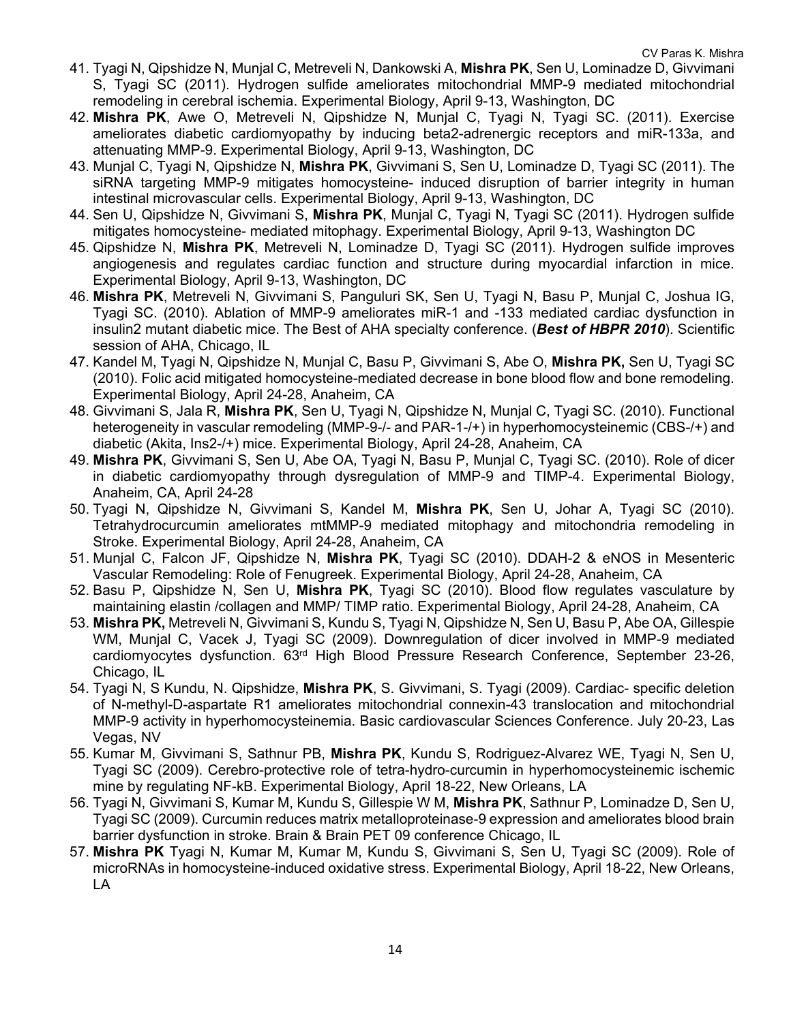- 41. Tyagi N, Qipshidze N, Munjal C, Metreveli N, Dankowski A, **Mishra PK**, Sen U, Lominadze D, Givvimani S, Tyagi SC (2011). Hydrogen sulfide ameliorates mitochondrial MMP-9 mediated mitochondrial remodeling in cerebral ischemia. Experimental Biology, April 9-13, Washington, DC
- 42. **Mishra PK**, Awe O, Metreveli N, Qipshidze N, Munjal C, Tyagi N, Tyagi SC. (2011). Exercise ameliorates diabetic cardiomyopathy by inducing beta2-adrenergic receptors and miR-133a, and attenuating MMP-9. Experimental Biology, April 9-13, Washington, DC
- 43. Munjal C, Tyagi N, Qipshidze N, **Mishra PK**, Givvimani S, Sen U, Lominadze D, Tyagi SC (2011). The siRNA targeting MMP-9 mitigates homocysteine- induced disruption of barrier integrity in human intestinal microvascular cells. Experimental Biology, April 9-13, Washington, DC
- 44. Sen U, Qipshidze N, Givvimani S, **Mishra PK**, Munjal C, Tyagi N, Tyagi SC (2011). Hydrogen sulfide mitigates homocysteine- mediated mitophagy. Experimental Biology, April 9-13, Washington DC
- 45. Qipshidze N, **Mishra PK**, Metreveli N, Lominadze D, Tyagi SC (2011). Hydrogen sulfide improves angiogenesis and regulates cardiac function and structure during myocardial infarction in mice. Experimental Biology, April 9-13, Washington, DC
- 46. **Mishra PK**, Metreveli N, Givvimani S, Panguluri SK, Sen U, Tyagi N, Basu P, Munjal C, Joshua IG, Tyagi SC. (2010). Ablation of MMP-9 ameliorates miR-1 and -133 mediated cardiac dysfunction in insulin2 mutant diabetic mice. The Best of AHA specialty conference. (*Best of HBPR 2010*). Scientific session of AHA, Chicago, IL
- 47. Kandel M, Tyagi N, Qipshidze N, Munjal C, Basu P, Givvimani S, Abe O, **Mishra PK,** Sen U, Tyagi SC (2010). Folic acid mitigated homocysteine-mediated decrease in bone blood flow and bone remodeling. Experimental Biology, April 24-28, Anaheim, CA
- 48. Givvimani S, Jala R, **Mishra PK**, Sen U, Tyagi N, Qipshidze N, Munjal C, Tyagi SC. (2010). Functional heterogeneity in vascular remodeling (MMP-9-/- and PAR-1-/+) in hyperhomocysteinemic (CBS-/+) and diabetic (Akita, Ins2-/+) mice. Experimental Biology, April 24-28, Anaheim, CA
- 49. **Mishra PK**, Givvimani S, Sen U, Abe OA, Tyagi N, Basu P, Munjal C, Tyagi SC. (2010). Role of dicer in diabetic cardiomyopathy through dysregulation of MMP-9 and TIMP-4. Experimental Biology, Anaheim, CA, April 24-28
- 50. Tyagi N, Qipshidze N, Givvimani S, Kandel M, **Mishra PK**, Sen U, Johar A, Tyagi SC (2010). Tetrahydrocurcumin ameliorates mtMMP-9 mediated mitophagy and mitochondria remodeling in Stroke. Experimental Biology, April 24-28, Anaheim, CA
- 51. Munjal C, Falcon JF, Qipshidze N, **Mishra PK**, Tyagi SC (2010). DDAH-2 & eNOS in Mesenteric Vascular Remodeling: Role of Fenugreek. Experimental Biology, April 24-28, Anaheim, CA
- 52. Basu P, Qipshidze N, Sen U, **Mishra PK**, Tyagi SC (2010). Blood flow regulates vasculature by maintaining elastin /collagen and MMP/ TIMP ratio. Experimental Biology, April 24-28, Anaheim, CA
- 53. **Mishra PK,** Metreveli N, Givvimani S, Kundu S, Tyagi N, Qipshidze N, Sen U, Basu P, Abe OA, Gillespie WM, Munjal C, Vacek J, Tyagi SC (2009). Downregulation of dicer involved in MMP-9 mediated cardiomyocytes dysfunction. 63rd High Blood Pressure Research Conference, September 23-26, Chicago, IL
- 54. Tyagi N, S Kundu, N. Qipshidze, **Mishra PK**, S. Givvimani, S. Tyagi (2009). Cardiac- specific deletion of N-methyl-D-aspartate R1 ameliorates mitochondrial connexin-43 translocation and mitochondrial MMP-9 activity in hyperhomocysteinemia. Basic cardiovascular Sciences Conference. July 20-23, Las Vegas, NV
- 55. Kumar M, Givvimani S, Sathnur PB, **Mishra PK**, Kundu S, Rodriguez-Alvarez WE, Tyagi N, Sen U, Tyagi SC (2009). Cerebro-protective role of tetra-hydro-curcumin in hyperhomocysteinemic ischemic mine by regulating NF-kB. Experimental Biology, April 18-22, New Orleans, LA
- 56. Tyagi N, Givvimani S, Kumar M, Kundu S, Gillespie W M, **Mishra PK**, Sathnur P, Lominadze D, Sen U, Tyagi SC (2009). Curcumin reduces matrix metalloproteinase-9 expression and ameliorates blood brain barrier dysfunction in stroke. Brain & Brain PET 09 conference Chicago, IL
- 57. **Mishra PK** Tyagi N, Kumar M, Kumar M, Kundu S, Givvimani S, Sen U, Tyagi SC (2009). Role of microRNAs in homocysteine-induced oxidative stress. Experimental Biology, April 18-22, New Orleans, LA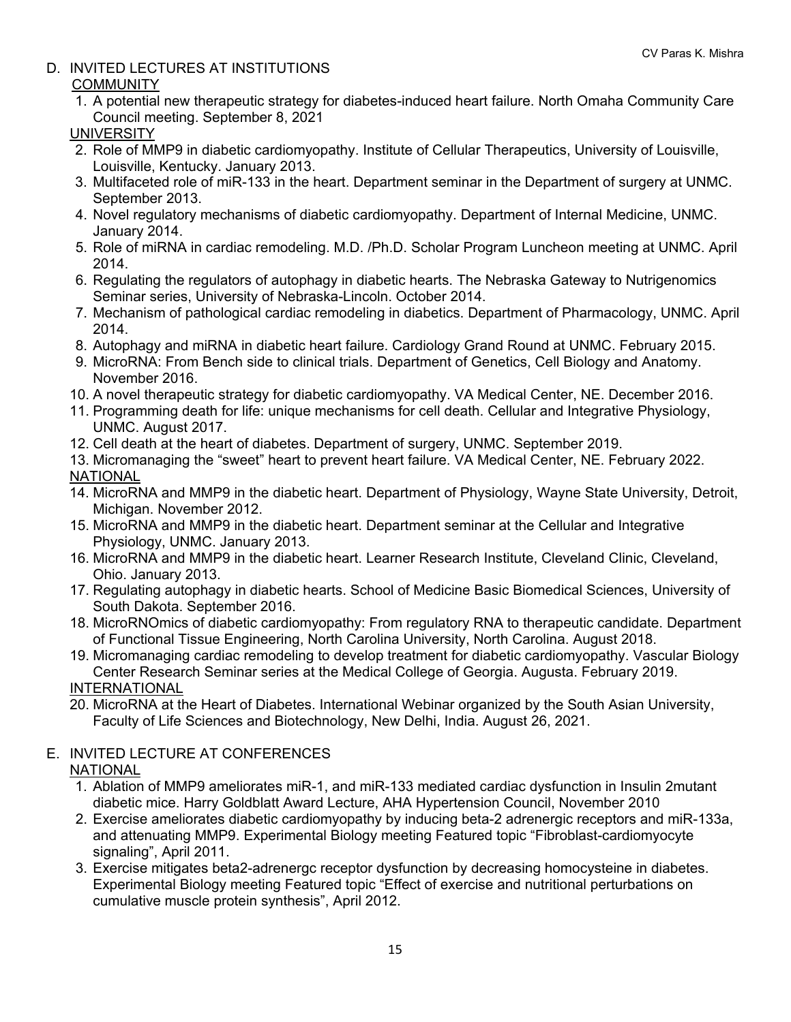D. INVITED LECTURES AT INSTITUTIONS

## **COMMUNITY**

1. A potential new therapeutic strategy for diabetes-induced heart failure. North Omaha Community Care Council meeting. September 8, 2021

## UNIVERSITY

- 2. Role of MMP9 in diabetic cardiomyopathy. Institute of Cellular Therapeutics, University of Louisville, Louisville, Kentucky. January 2013.
- 3. Multifaceted role of miR-133 in the heart. Department seminar in the Department of surgery at UNMC. September 2013.
- 4. Novel regulatory mechanisms of diabetic cardiomyopathy. Department of Internal Medicine, UNMC. January 2014.
- 5. Role of miRNA in cardiac remodeling. M.D. /Ph.D. Scholar Program Luncheon meeting at UNMC. April 2014.
- 6. Regulating the regulators of autophagy in diabetic hearts. The Nebraska Gateway to Nutrigenomics Seminar series, University of Nebraska-Lincoln. October 2014.
- 7. Mechanism of pathological cardiac remodeling in diabetics. Department of Pharmacology, UNMC. April 2014.
- 8. Autophagy and miRNA in diabetic heart failure. Cardiology Grand Round at UNMC. February 2015.
- 9. MicroRNA: From Bench side to clinical trials. Department of Genetics, Cell Biology and Anatomy. November 2016.
- 10. A novel therapeutic strategy for diabetic cardiomyopathy. VA Medical Center, NE. December 2016.
- 11. Programming death for life: unique mechanisms for cell death. Cellular and Integrative Physiology, UNMC. August 2017.
- 12. Cell death at the heart of diabetes. Department of surgery, UNMC. September 2019.
- 13. Micromanaging the "sweet" heart to prevent heart failure. VA Medical Center, NE. February 2022. NATIONAL
- 14. MicroRNA and MMP9 in the diabetic heart. Department of Physiology, Wayne State University, Detroit, Michigan. November 2012.
- 15. MicroRNA and MMP9 in the diabetic heart. Department seminar at the Cellular and Integrative Physiology, UNMC. January 2013.
- 16. MicroRNA and MMP9 in the diabetic heart. Learner Research Institute, Cleveland Clinic, Cleveland, Ohio. January 2013.
- 17. Regulating autophagy in diabetic hearts. School of Medicine Basic Biomedical Sciences, University of South Dakota. September 2016.
- 18. MicroRNOmics of diabetic cardiomyopathy: From regulatory RNA to therapeutic candidate. Department of Functional Tissue Engineering, North Carolina University, North Carolina. August 2018.
- 19. Micromanaging cardiac remodeling to develop treatment for diabetic cardiomyopathy. Vascular Biology Center Research Seminar series at the Medical College of Georgia. Augusta. February 2019. INTERNATIONAL
- 20. MicroRNA at the Heart of Diabetes. International Webinar organized by the South Asian University, Faculty of Life Sciences and Biotechnology, New Delhi, India. August 26, 2021.

## E. INVITED LECTURE AT CONFERENCES

## **NATIONAL**

- 1. Ablation of MMP9 ameliorates miR-1, and miR-133 mediated cardiac dysfunction in Insulin 2mutant diabetic mice. Harry Goldblatt Award Lecture, AHA Hypertension Council, November 2010
- 2. Exercise ameliorates diabetic cardiomyopathy by inducing beta-2 adrenergic receptors and miR-133a, and attenuating MMP9. Experimental Biology meeting Featured topic "Fibroblast-cardiomyocyte signaling", April 2011.
- 3. Exercise mitigates beta2-adrenergc receptor dysfunction by decreasing homocysteine in diabetes. Experimental Biology meeting Featured topic "Effect of exercise and nutritional perturbations on cumulative muscle protein synthesis", April 2012.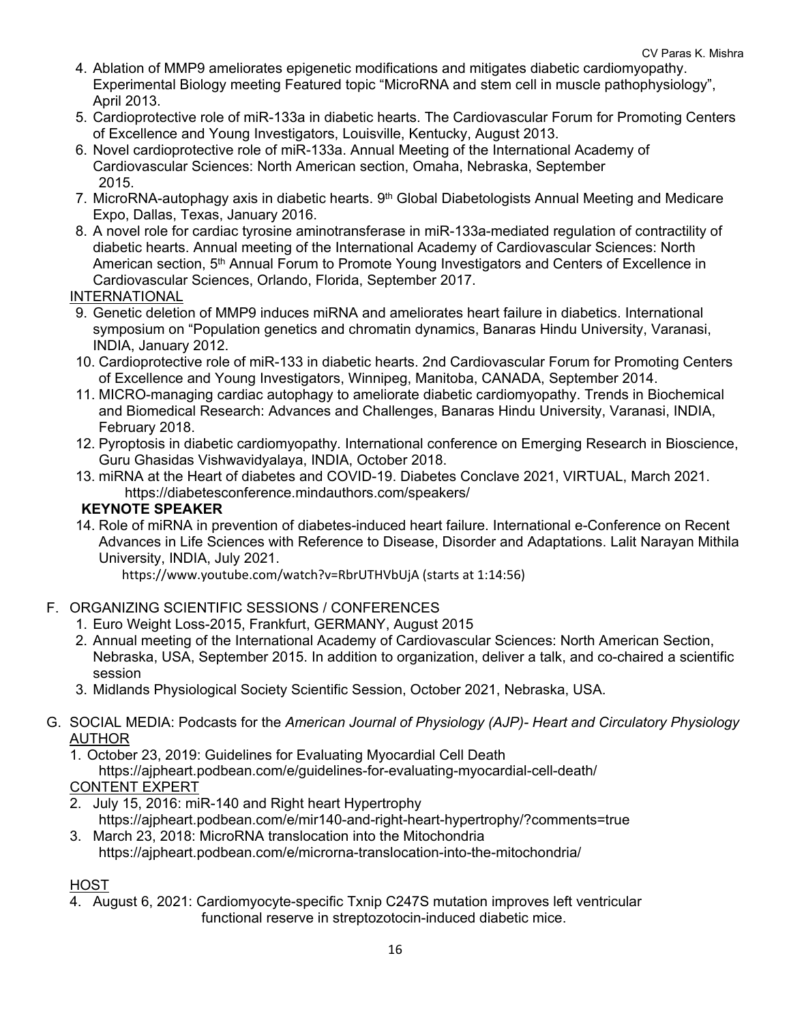- 4. Ablation of MMP9 ameliorates epigenetic modifications and mitigates diabetic cardiomyopathy. Experimental Biology meeting Featured topic "MicroRNA and stem cell in muscle pathophysiology", April 2013.
- 5. Cardioprotective role of miR-133a in diabetic hearts. The Cardiovascular Forum for Promoting Centers of Excellence and Young Investigators, Louisville, Kentucky, August 2013.
- 6. Novel cardioprotective role of miR-133a. Annual Meeting of the International Academy of Cardiovascular Sciences: North American section, Omaha, Nebraska, September 2015.
- 7. MicroRNA-autophagy axis in diabetic hearts. 9<sup>th</sup> Global Diabetologists Annual Meeting and Medicare Expo, Dallas, Texas, January 2016.
- 8. A novel role for cardiac tyrosine aminotransferase in miR-133a-mediated regulation of contractility of diabetic hearts. Annual meeting of the International Academy of Cardiovascular Sciences: North American section, 5<sup>th</sup> Annual Forum to Promote Young Investigators and Centers of Excellence in Cardiovascular Sciences, Orlando, Florida, September 2017.

### INTERNATIONAL

- 9. Genetic deletion of MMP9 induces miRNA and ameliorates heart failure in diabetics. International symposium on "Population genetics and chromatin dynamics, Banaras Hindu University, Varanasi, INDIA, January 2012.
- 10. Cardioprotective role of miR-133 in diabetic hearts. 2nd Cardiovascular Forum for Promoting Centers of Excellence and Young Investigators, Winnipeg, Manitoba, CANADA, September 2014.
- 11. MICRO-managing cardiac autophagy to ameliorate diabetic cardiomyopathy. Trends in Biochemical and Biomedical Research: Advances and Challenges, Banaras Hindu University, Varanasi, INDIA, February 2018.
- 12. Pyroptosis in diabetic cardiomyopathy*.* International conference on Emerging Research in Bioscience, Guru Ghasidas Vishwavidyalaya, INDIA, October 2018.
- 13. miRNA at the Heart of diabetes and COVID-19. Diabetes Conclave 2021, VIRTUAL, March 2021. https://diabetesconference.mindauthors.com/speakers/

### **KEYNOTE SPEAKER**

14. Role of miRNA in prevention of diabetes-induced heart failure. International e-Conference on Recent Advances in Life Sciences with Reference to Disease, Disorder and Adaptations. Lalit Narayan Mithila University, INDIA, July 2021.

https://www.youtube.com/watch?v=RbrUTHVbUjA (starts at 1:14:56)

## F. ORGANIZING SCIENTIFIC SESSIONS / CONFERENCES

- 1. Euro Weight Loss-2015, Frankfurt, GERMANY, August 2015
- 2. Annual meeting of the International Academy of Cardiovascular Sciences: North American Section, Nebraska, USA, September 2015. In addition to organization, deliver a talk, and co-chaired a scientific session
- 3. Midlands Physiological Society Scientific Session, October 2021, Nebraska, USA.
- G. SOCIAL MEDIA: Podcasts for the *American Journal of Physiology (AJP)- Heart and Circulatory Physiology* AUTHOR
	- 1. October 23, 2019: Guidelines for Evaluating Myocardial Cell Death

https://ajpheart.podbean.com/e/guidelines-for-evaluating-myocardial-cell-death/

#### CONTENT EXPERT

- 2. July 15, 2016: miR-140 and Right heart Hypertrophy https://ajpheart.podbean.com/e/mir140-and-right-heart-hypertrophy/?comments=true
- 3. March 23, 2018: MicroRNA translocation into the Mitochondria https://ajpheart.podbean.com/e/microrna-translocation-into-the-mitochondria/

## HOST

4. August 6, 2021: Cardiomyocyte-specific Txnip C247S mutation improves left ventricular functional reserve in streptozotocin-induced diabetic mice.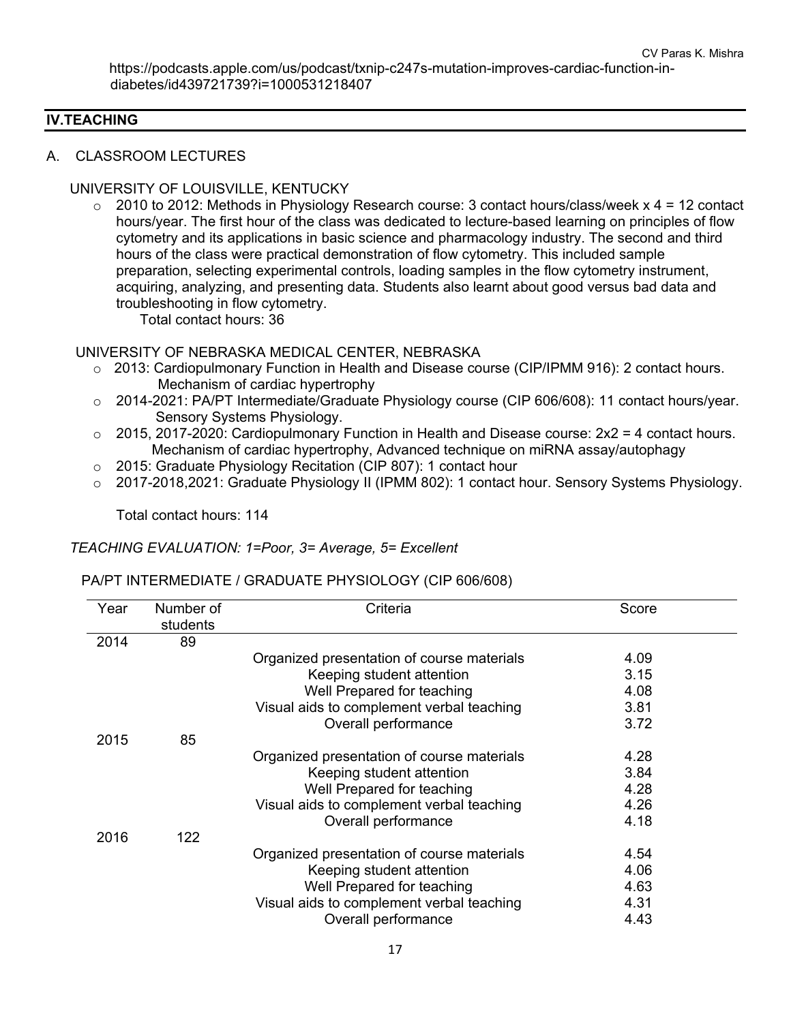#### **IV.TEACHING**

#### A. CLASSROOM LECTURES

#### UNIVERSITY OF LOUISVILLE, KENTUCKY

 $\circ$  2010 to 2012: Methods in Physiology Research course: 3 contact hours/class/week x 4 = 12 contact hours/year. The first hour of the class was dedicated to lecture-based learning on principles of flow cytometry and its applications in basic science and pharmacology industry. The second and third hours of the class were practical demonstration of flow cytometry. This included sample preparation, selecting experimental controls, loading samples in the flow cytometry instrument, acquiring, analyzing, and presenting data. Students also learnt about good versus bad data and troubleshooting in flow cytometry.

Total contact hours: 36

#### UNIVERSITY OF NEBRASKA MEDICAL CENTER, NEBRASKA

- o 2013: Cardiopulmonary Function in Health and Disease course (CIP/IPMM 916): 2 contact hours. Mechanism of cardiac hypertrophy
- o 2014-2021: PA/PT Intermediate/Graduate Physiology course (CIP 606/608): 11 contact hours/year. Sensory Systems Physiology.
- $\circ$  2015, 2017-2020: Cardiopulmonary Function in Health and Disease course:  $2x^2 = 4$  contact hours. Mechanism of cardiac hypertrophy, Advanced technique on miRNA assay/autophagy
- o 2015: Graduate Physiology Recitation (CIP 807): 1 contact hour
- o 2017-2018,2021: Graduate Physiology II (IPMM 802): 1 contact hour. Sensory Systems Physiology.

Total contact hours: 114

#### *TEACHING EVALUATION: 1=Poor, 3= Average, 5= Excellent*

#### PA/PT INTERMEDIATE / GRADUATE PHYSIOLOGY (CIP 606/608)

| Year | Number of | Criteria                                   | Score |
|------|-----------|--------------------------------------------|-------|
|      | students  |                                            |       |
| 2014 | 89        |                                            |       |
|      |           | Organized presentation of course materials | 4.09  |
|      |           | Keeping student attention                  | 3.15  |
|      |           | Well Prepared for teaching                 | 4.08  |
|      |           | Visual aids to complement verbal teaching  | 3.81  |
|      |           | Overall performance                        | 3.72  |
| 2015 | 85        |                                            |       |
|      |           | Organized presentation of course materials | 4.28  |
|      |           | Keeping student attention                  | 3.84  |
|      |           | Well Prepared for teaching                 | 4.28  |
|      |           | Visual aids to complement verbal teaching  | 4.26  |
|      |           | Overall performance                        | 4.18  |
| 2016 | 122       |                                            |       |
|      |           | Organized presentation of course materials | 4.54  |
|      |           | Keeping student attention                  | 4.06  |
|      |           | Well Prepared for teaching                 | 4.63  |
|      |           | Visual aids to complement verbal teaching  | 4.31  |
|      |           | Overall performance                        | 4.43  |
|      |           |                                            |       |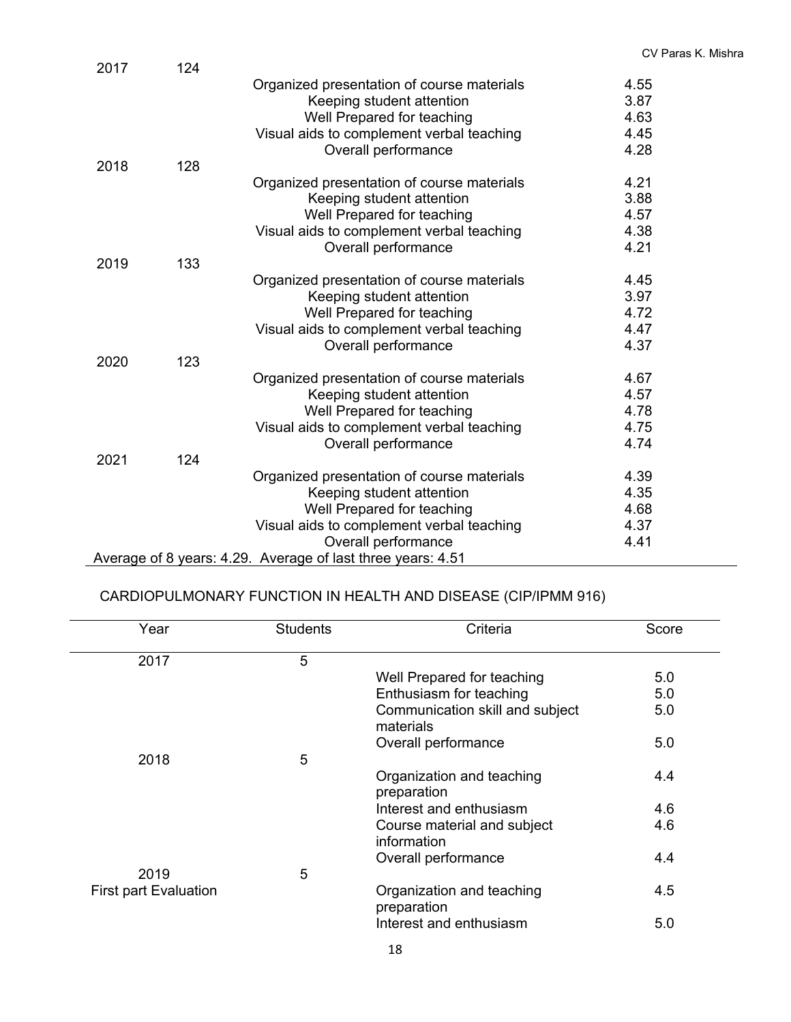| 2017 | 124 |                                                                         |              |
|------|-----|-------------------------------------------------------------------------|--------------|
|      |     | Organized presentation of course materials<br>Keeping student attention | 4.55<br>3.87 |
|      |     | Well Prepared for teaching                                              | 4.63         |
|      |     | Visual aids to complement verbal teaching                               | 4.45         |
|      |     |                                                                         | 4.28         |
|      |     | Overall performance                                                     |              |
| 2018 | 128 |                                                                         |              |
|      |     | Organized presentation of course materials                              | 4.21         |
|      |     | Keeping student attention                                               | 3.88         |
|      |     | Well Prepared for teaching                                              | 4.57         |
|      |     | Visual aids to complement verbal teaching                               | 4.38         |
|      |     | Overall performance                                                     | 4.21         |
| 2019 | 133 |                                                                         |              |
|      |     | Organized presentation of course materials                              | 4.45         |
|      |     | Keeping student attention                                               | 3.97         |
|      |     | Well Prepared for teaching                                              | 4.72         |
|      |     | Visual aids to complement verbal teaching                               | 4.47         |
|      |     | Overall performance                                                     | 4.37         |
| 2020 | 123 |                                                                         |              |
|      |     | Organized presentation of course materials                              | 4.67         |
|      |     |                                                                         | 4.57         |
|      |     | Keeping student attention                                               |              |
|      |     | Well Prepared for teaching                                              | 4.78         |
|      |     | Visual aids to complement verbal teaching                               | 4.75         |
|      |     | Overall performance                                                     | 4.74         |
| 2021 | 124 |                                                                         |              |
|      |     | Organized presentation of course materials                              | 4.39         |
|      |     | Keeping student attention                                               | 4.35         |
|      |     | Well Prepared for teaching                                              | 4.68         |
|      |     | Visual aids to complement verbal teaching                               | 4.37         |
|      |     | Overall performance                                                     | 4.41         |
|      |     | Average of 8 years: 4.29. Average of last three years: 4.51             |              |

## CARDIOPULMONARY FUNCTION IN HEALTH AND DISEASE (CIP/IPMM 916)

| Year                         | <b>Students</b> | Criteria                                     | Score |
|------------------------------|-----------------|----------------------------------------------|-------|
| 2017                         | 5               |                                              |       |
|                              |                 | Well Prepared for teaching                   | 5.0   |
|                              |                 | Enthusiasm for teaching                      | 5.0   |
|                              |                 | Communication skill and subject<br>materials | 5.0   |
|                              |                 | Overall performance                          | 5.0   |
| 2018                         | 5               |                                              |       |
|                              |                 | Organization and teaching<br>preparation     | 4.4   |
|                              |                 | Interest and enthusiasm                      | 4.6   |
|                              |                 | Course material and subject<br>information   | 4.6   |
|                              |                 | Overall performance                          | 4.4   |
| 2019                         | 5               |                                              |       |
| <b>First part Evaluation</b> |                 | Organization and teaching<br>preparation     | 4.5   |
|                              |                 | Interest and enthusiasm                      | 5.0   |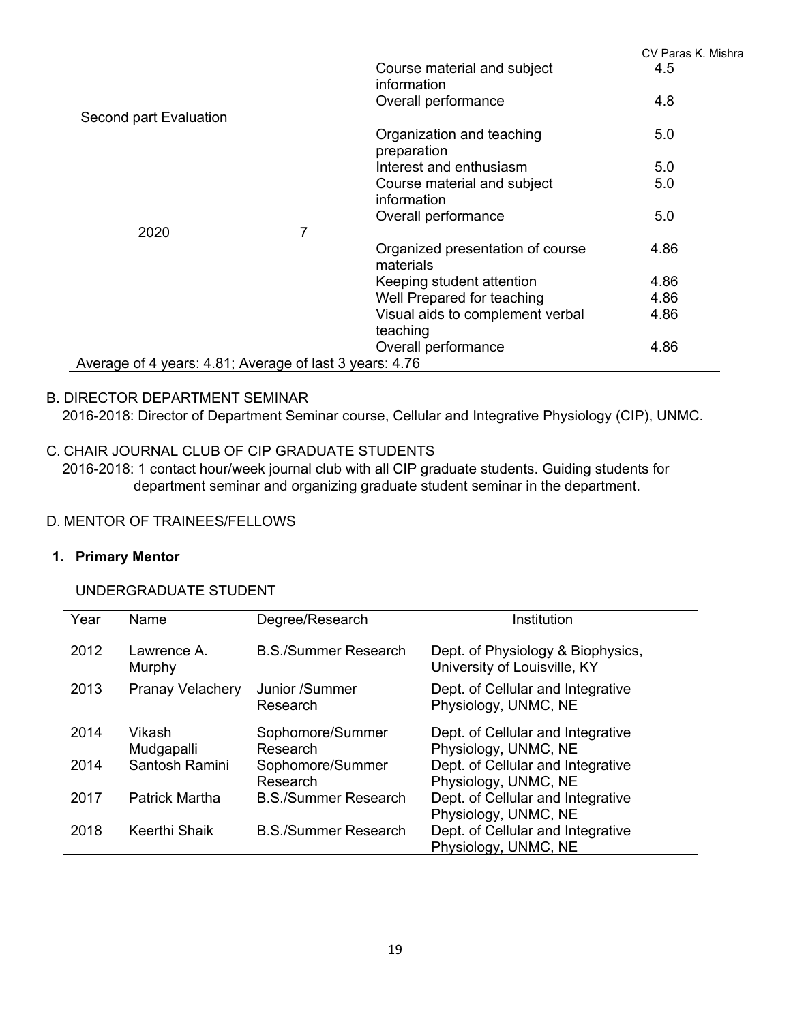|                                                         |   |                                               | CV Paras K. Mishra |
|---------------------------------------------------------|---|-----------------------------------------------|--------------------|
|                                                         |   | Course material and subject<br>information    | 4.5                |
|                                                         |   | Overall performance                           | 4.8                |
| Second part Evaluation                                  |   |                                               |                    |
|                                                         |   | Organization and teaching<br>preparation      | 5.0                |
|                                                         |   | Interest and enthusiasm                       | 5.0                |
|                                                         |   | Course material and subject                   | 5.0                |
|                                                         |   | information                                   |                    |
|                                                         |   | Overall performance                           | 5.0                |
| 2020                                                    | 7 |                                               |                    |
|                                                         |   | Organized presentation of course<br>materials | 4.86               |
|                                                         |   | Keeping student attention                     | 4.86               |
|                                                         |   | Well Prepared for teaching                    | 4.86               |
|                                                         |   | Visual aids to complement verbal              | 4.86               |
|                                                         |   | teaching                                      |                    |
|                                                         |   | Overall performance                           | 4.86               |
| Average of 4 years: 4.81; Average of last 3 years: 4.76 |   |                                               |                    |

## B. DIRECTOR DEPARTMENT SEMINAR

2016-2018: Director of Department Seminar course, Cellular and Integrative Physiology (CIP), UNMC.

## C. CHAIR JOURNAL CLUB OF CIP GRADUATE STUDENTS

 2016-2018: 1 contact hour/week journal club with all CIP graduate students. Guiding students for department seminar and organizing graduate student seminar in the department.

### D. MENTOR OF TRAINEES/FELLOWS

#### **1. Primary Mentor**

### UNDERGRADUATE STUDENT

| Year | Name                    | Degree/Research              | Institution                                                       |
|------|-------------------------|------------------------------|-------------------------------------------------------------------|
| 2012 | Lawrence A.<br>Murphy   | <b>B.S./Summer Research</b>  | Dept. of Physiology & Biophysics,<br>University of Louisville, KY |
| 2013 | <b>Pranay Velachery</b> | Junior /Summer<br>Research   | Dept. of Cellular and Integrative<br>Physiology, UNMC, NE         |
| 2014 | Vikash<br>Mudgapalli    | Sophomore/Summer<br>Research | Dept. of Cellular and Integrative<br>Physiology, UNMC, NE         |
| 2014 | Santosh Ramini          | Sophomore/Summer<br>Research | Dept. of Cellular and Integrative<br>Physiology, UNMC, NE         |
| 2017 | <b>Patrick Martha</b>   | <b>B.S./Summer Research</b>  | Dept. of Cellular and Integrative<br>Physiology, UNMC, NE         |
| 2018 | Keerthi Shaik           | <b>B.S./Summer Research</b>  | Dept. of Cellular and Integrative<br>Physiology, UNMC, NE         |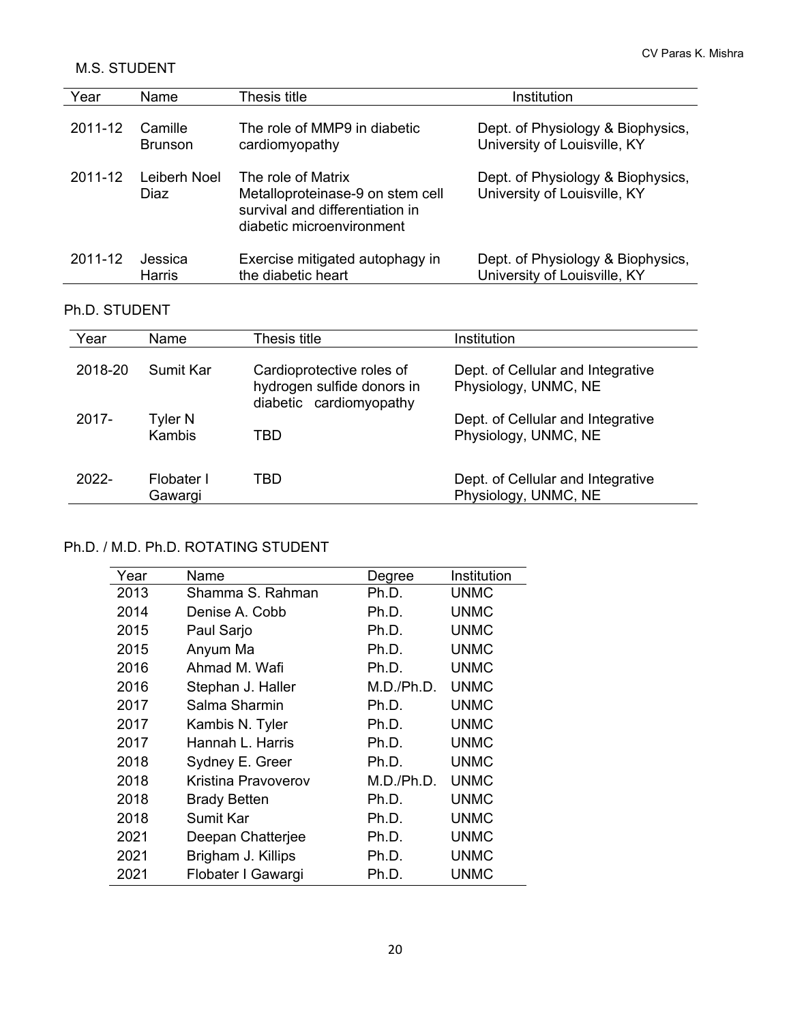## M.S. STUDENT

| Year    | Name                 | Thesis title                                                                                                           | Institution                                                       |
|---------|----------------------|------------------------------------------------------------------------------------------------------------------------|-------------------------------------------------------------------|
| 2011-12 | Camille              | The role of MMP9 in diabetic                                                                                           | Dept. of Physiology & Biophysics,                                 |
|         | <b>Brunson</b>       | cardiomyopathy                                                                                                         | University of Louisville, KY                                      |
| 2011-12 | Leiberh Noel<br>Diaz | The role of Matrix<br>Metalloproteinase-9 on stem cell<br>survival and differentiation in<br>diabetic microenvironment | Dept. of Physiology & Biophysics,<br>University of Louisville, KY |
| 2011-12 | Jessica              | Exercise mitigated autophagy in                                                                                        | Dept. of Physiology & Biophysics,                                 |
|         | Harris               | the diabetic heart                                                                                                     | University of Louisville, KY                                      |

## Ph.D. STUDENT

| Year     | Name                  | Thesis title                                                                       | Institution                                               |
|----------|-----------------------|------------------------------------------------------------------------------------|-----------------------------------------------------------|
| 2018-20  | Sumit Kar             | Cardioprotective roles of<br>hydrogen sulfide donors in<br>diabetic cardiomyopathy | Dept. of Cellular and Integrative<br>Physiology, UNMC, NE |
| 2017-    | Tyler N<br>Kambis     | TBD                                                                                | Dept. of Cellular and Integrative<br>Physiology, UNMC, NE |
| $2022 -$ | Flobater I<br>Gawargi | TBD                                                                                | Dept. of Cellular and Integrative<br>Physiology, UNMC, NE |

## Ph.D. / M.D. Ph.D. ROTATING STUDENT

| Year | Name                | Degree     | Institution |
|------|---------------------|------------|-------------|
| 2013 | Shamma S. Rahman    | Ph.D.      | UNMC        |
|      |                     |            |             |
| 2014 | Denise A. Cobb      | Ph.D.      | <b>UNMC</b> |
| 2015 | Paul Sarjo          | Ph.D.      | UNMC        |
| 2015 | Anyum Ma            | Ph.D.      | UNMC        |
| 2016 | Ahmad M. Wafi       | Ph.D.      | UNMC        |
| 2016 | Stephan J. Haller   | M.D./Ph.D. | <b>UNMC</b> |
| 2017 | Salma Sharmin       | Ph.D.      | <b>UNMC</b> |
| 2017 | Kambis N. Tyler     | Ph.D.      | UNMC        |
| 2017 | Hannah L. Harris    | Ph.D.      | <b>UNMC</b> |
| 2018 | Sydney E. Greer     | Ph.D.      | <b>UNMC</b> |
| 2018 | Kristina Pravoverov | M.D./Ph.D. | <b>UNMC</b> |
| 2018 | <b>Brady Betten</b> | Ph.D.      | UNMC        |
| 2018 | Sumit Kar           | Ph.D.      | UNMC        |
| 2021 | Deepan Chatterjee   | Ph.D.      | UNMC        |
| 2021 | Brigham J. Killips  | Ph.D.      | <b>UNMC</b> |
| 2021 | Flobater I Gawargi  | Ph.D.      | <b>UNMC</b> |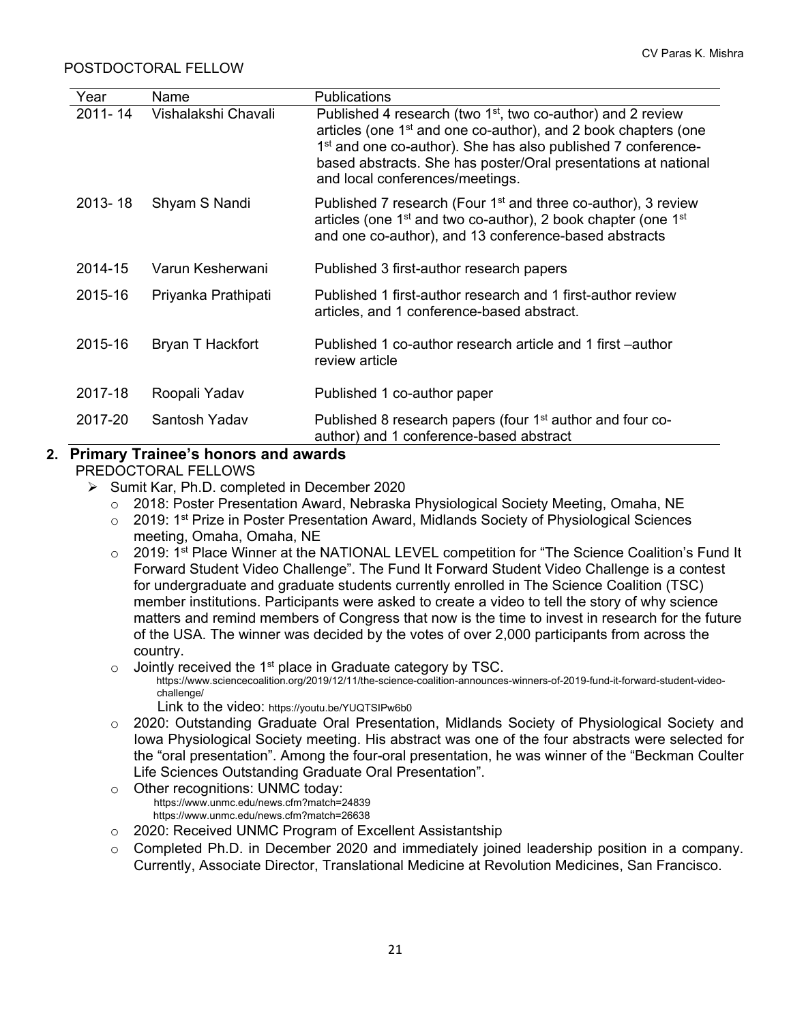#### POSTDOCTORAL FELLOW

| Year        | Name                | <b>Publications</b>                                                                                                                                                                                                                                                                                                          |
|-------------|---------------------|------------------------------------------------------------------------------------------------------------------------------------------------------------------------------------------------------------------------------------------------------------------------------------------------------------------------------|
| 2011-14     | Vishalakshi Chavali | Published 4 research (two $1st$ , two co-author) and 2 review<br>articles (one 1 <sup>st</sup> and one co-author), and 2 book chapters (one<br>1 <sup>st</sup> and one co-author). She has also published 7 conference-<br>based abstracts. She has poster/Oral presentations at national<br>and local conferences/meetings. |
| $2013 - 18$ | Shyam S Nandi       | Published 7 research (Four 1 <sup>st</sup> and three co-author), 3 review<br>articles (one 1 <sup>st</sup> and two co-author), 2 book chapter (one 1 <sup>st</sup><br>and one co-author), and 13 conference-based abstracts                                                                                                  |
| 2014-15     | Varun Kesherwani    | Published 3 first-author research papers                                                                                                                                                                                                                                                                                     |
| 2015-16     | Priyanka Prathipati | Published 1 first-author research and 1 first-author review<br>articles, and 1 conference-based abstract.                                                                                                                                                                                                                    |
| 2015-16     | Bryan T Hackfort    | Published 1 co-author research article and 1 first –author<br>review article                                                                                                                                                                                                                                                 |
| 2017-18     | Roopali Yadav       | Published 1 co-author paper                                                                                                                                                                                                                                                                                                  |
| 2017-20     | Santosh Yadav       | Published 8 research papers (four 1 <sup>st</sup> author and four co-<br>author) and 1 conference-based abstract                                                                                                                                                                                                             |

# **2. Primary Trainee's honors and awards**

PREDOCTORAL FELLOWS

- $\triangleright$  Sumit Kar, Ph.D. completed in December 2020
	- o 2018: Poster Presentation Award, Nebraska Physiological Society Meeting, Omaha, NE
	- $\circ$  2019: 1<sup>st</sup> Prize in Poster Presentation Award, Midlands Society of Physiological Sciences meeting, Omaha, Omaha, NE
	- o 2019: 1<sup>st</sup> Place Winner at the NATIONAL LEVEL competition for "The Science Coalition's Fund It Forward Student Video Challenge". The Fund It Forward Student Video Challenge is a contest for undergraduate and graduate students currently enrolled in The Science Coalition (TSC) member institutions. Participants were asked to create a video to tell the story of why science matters and remind members of Congress that now is the time to invest in research for the future of the USA. The winner was decided by the votes of over 2,000 participants from across the country.
	-
	- $\circ$  Jointly received the 1<sup>st</sup> place in Graduate category by TSC.<br>https://www.sciencecoalition.org/2019/12/11/the-science-coalition-announces-winners-of-2019-fund-it-forward-student-videochallenge/
		- Link to the video: https://youtu.be/YUQTSIPw6b0
	- o 2020: Outstanding Graduate Oral Presentation, Midlands Society of Physiological Society and Iowa Physiological Society meeting. His abstract was one of the four abstracts were selected for the "oral presentation". Among the four-oral presentation, he was winner of the "Beckman Coulter Life Sciences Outstanding Graduate Oral Presentation".
	- <sup>o</sup> Other recognitions: UNMC today: https://www.unmc.edu/news.cfm?match=24839 https://www.unmc.edu/news.cfm?match=26638
	- o 2020: Received UNMC Program of Excellent Assistantship
	- o Completed Ph.D. in December 2020 and immediately joined leadership position in a company. Currently, Associate Director, Translational Medicine at Revolution Medicines, San Francisco.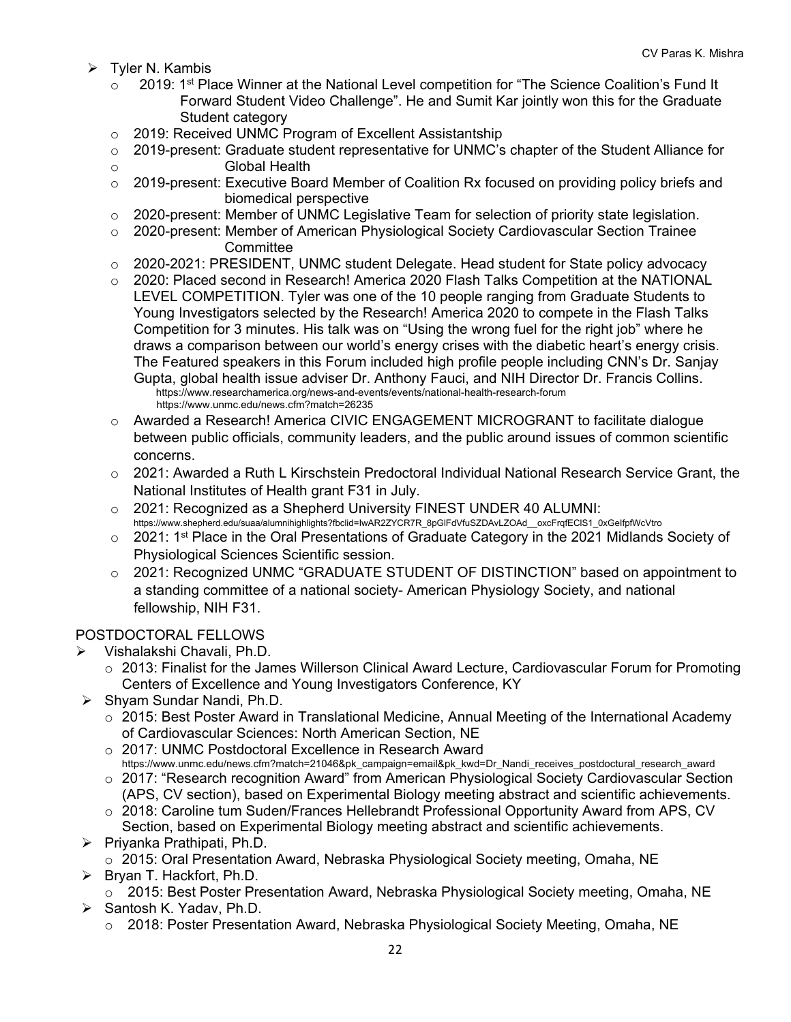- $\triangleright$  Tyler N. Kambis
	- $\circ$  2019: 1<sup>st</sup> Place Winner at the National Level competition for "The Science Coalition's Fund It Forward Student Video Challenge". He and Sumit Kar jointly won this for the Graduate Student category
	- o 2019: Received UNMC Program of Excellent Assistantship
	- o 2019-present: Graduate student representative for UNMC's chapter of the Student Alliance for
	- o Global Health
	- $\circ$  2019-present: Executive Board Member of Coalition Rx focused on providing policy briefs and biomedical perspective
	- $\circ$  2020-present: Member of UNMC Legislative Team for selection of priority state legislation.
	- o 2020-present: Member of American Physiological Society Cardiovascular Section Trainee **Committee**
	- $\circ$  2020-2021: PRESIDENT, UNMC student Delegate. Head student for State policy advocacy
	- $\circ$  2020: Placed second in Research! America 2020 Flash Talks Competition at the NATIONAL LEVEL COMPETITION. Tyler was one of the 10 people ranging from Graduate Students to Young Investigators selected by the Research! America 2020 to compete in the Flash Talks Competition for 3 minutes. His talk was on "Using the wrong fuel for the right job" where he draws a comparison between our world's energy crises with the diabetic heart's energy crisis. The Featured speakers in this Forum included high profile people including CNN's Dr. Sanjay Gupta, global health issue adviser Dr. Anthony Fauci, and NIH Director Dr. Francis Collins. https://www.researchamerica.org/news-and-events/events/national-health-research-forum https://www.unmc.edu/news.cfm?match=26235
	- o Awarded a Research! America CIVIC ENGAGEMENT MICROGRANT to facilitate dialogue between public officials, community leaders, and the public around issues of common scientific concerns.
	- $\circ$  2021: Awarded a Ruth L Kirschstein Predoctoral Individual National Research Service Grant, the National Institutes of Health grant F31 in July.
	- o 2021: Recognized as a Shepherd University FINEST UNDER 40 ALUMNI: https://www.shepherd.edu/suaa/alumnihighlights?fbclid=IwAR2ZYCR7R\_8pGlFdVfuSZDAvLZOAd\_\_oxcFrqfEClS1\_0xGeIfpfWcVtro
	- o 2021: 1<sup>st</sup> Place in the Oral Presentations of Graduate Category in the 2021 Midlands Society of Physiological Sciences Scientific session.
	- 2021: Recognized UNMC "GRADUATE STUDENT OF DISTINCTION" based on appointment to a standing committee of a national society- American Physiology Society, and national fellowship, NIH F31.

#### POSTDOCTORAL FELLOWS

- Vishalakshi Chavali, Ph.D.
	- $\circ$  2013: Finalist for the James Willerson Clinical Award Lecture, Cardiovascular Forum for Promoting Centers of Excellence and Young Investigators Conference, KY
- $\triangleright$  Shyam Sundar Nandi, Ph.D.
	- o 2015: Best Poster Award in Translational Medicine, Annual Meeting of the International Academy of Cardiovascular Sciences: North American Section, NE
	- o 2017: UNMC Postdoctoral Excellence in Research Award https://www.unmc.edu/news.cfm?match=21046&pk\_campaign=email&pk\_kwd=Dr\_Nandi\_receives\_postdoctural\_research\_award
	- o 2017: "Research recognition Award" from American Physiological Society Cardiovascular Section (APS, CV section), based on Experimental Biology meeting abstract and scientific achievements.
	- o 2018: Caroline tum Suden/Frances Hellebrandt Professional Opportunity Award from APS, CV Section, based on Experimental Biology meeting abstract and scientific achievements.
- $\triangleright$  Priyanka Prathipati, Ph.D.
	- o 2015: Oral Presentation Award, Nebraska Physiological Society meeting, Omaha, NE
- $\triangleright$  Bryan T. Hackfort, Ph.D.
	- o 2015: Best Poster Presentation Award, Nebraska Physiological Society meeting, Omaha, NE
- $\triangleright$  Santosh K. Yadav, Ph.D.
	- o 2018: Poster Presentation Award, Nebraska Physiological Society Meeting, Omaha, NE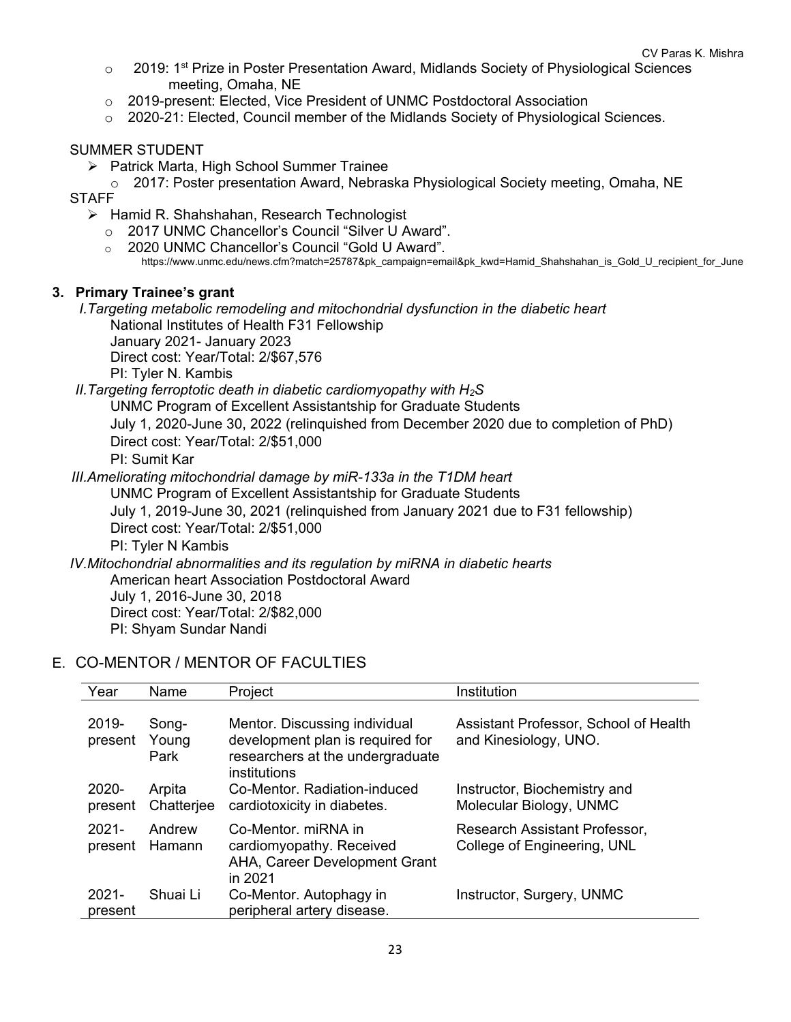- $\circ$  2019: 1<sup>st</sup> Prize in Poster Presentation Award, Midlands Society of Physiological Sciences meeting, Omaha, NE
- o 2019-present: Elected, Vice President of UNMC Postdoctoral Association
- $\circ$  2020-21: Elected, Council member of the Midlands Society of Physiological Sciences.

#### SUMMER STUDENT

- $\triangleright$  Patrick Marta, High School Summer Trainee
- o 2017: Poster presentation Award, Nebraska Physiological Society meeting, Omaha, NE **STAFF** 
	- $\triangleright$  Hamid R. Shahshahan, Research Technologist
		- o 2017 UNMC Chancellor's Council "Silver U Award".
		- o 2020 UNMC Chancellor's Council "Gold U Award".
			- https://www.unmc.edu/news.cfm?match=25787&pk\_campaign=email&pk\_kwd=Hamid\_Shahshahan\_is\_Gold\_U\_recipient\_for\_June

#### **3. Primary Trainee's grant**

*I.Targeting metabolic remodeling and mitochondrial dysfunction in the diabetic heart*

National Institutes of Health F31 Fellowship January 2021- January 2023

Direct cost: Year/Total: 2/\$67,576

PI: Tyler N. Kambis

*II.Targeting ferroptotic death in diabetic cardiomyopathy with H2S*

UNMC Program of Excellent Assistantship for Graduate Students

July 1, 2020-June 30, 2022 (relinquished from December 2020 due to completion of PhD) Direct cost: Year/Total: 2/\$51,000

PI: Sumit Kar

*III.Ameliorating mitochondrial damage by miR-133a in the T1DM heart* UNMC Program of Excellent Assistantship for Graduate Students July 1, 2019-June 30, 2021 (relinquished from January 2021 due to F31 fellowship) Direct cost: Year/Total: 2/\$51,000 PI: Tyler N Kambis *IV.Mitochondrial abnormalities and its regulation by miRNA in diabetic hearts*

American heart Association Postdoctoral Award

July 1, 2016-June 30, 2018 Direct cost: Year/Total: 2/\$82,000

PI: Shyam Sundar Nandi

## E. CO-MENTOR / MENTOR OF FACULTIES

| Year                | Name                   | Project                                                                                                               | Institution                                                    |
|---------------------|------------------------|-----------------------------------------------------------------------------------------------------------------------|----------------------------------------------------------------|
| 2019-<br>present    | Song-<br>Young<br>Park | Mentor. Discussing individual<br>development plan is required for<br>researchers at the undergraduate<br>institutions | Assistant Professor, School of Health<br>and Kinesiology, UNO. |
| 2020-<br>present    | Arpita<br>Chatterjee   | Co-Mentor, Radiation-induced<br>cardiotoxicity in diabetes.                                                           | Instructor, Biochemistry and<br>Molecular Biology, UNMC        |
| $2021 -$<br>present | Andrew<br>Hamann       | Co-Mentor, miRNA in<br>cardiomyopathy. Received<br>AHA, Career Development Grant<br>in 2021                           | Research Assistant Professor,<br>College of Engineering, UNL   |
| $2021 -$<br>present | Shuai Li               | Co-Mentor. Autophagy in<br>peripheral artery disease.                                                                 | Instructor, Surgery, UNMC                                      |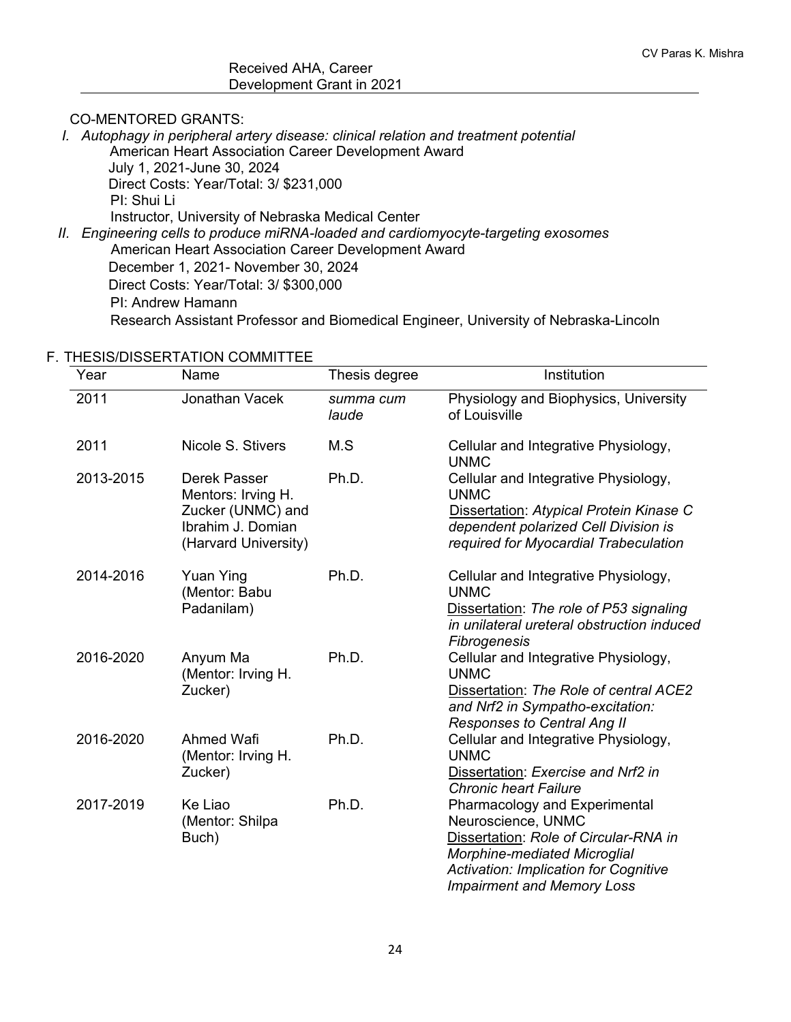#### CO-MENTORED GRANTS:

*I. Autophagy in peripheral artery disease: clinical relation and treatment potential* American Heart Association Career Development Award July 1, 2021-June 30, 2024 Direct Costs: Year/Total: 3/ \$231,000 PI: Shui Li Instructor, University of Nebraska Medical Center *II. Engineering cells to produce miRNA-loaded and cardiomyocyte-targeting exosomes* American Heart Association Career Development Award December 1, 2021- November 30, 2024 Direct Costs: Year/Total: 3/ \$300,000 PI: Andrew Hamann

#### F. THESIS/DISSERTATION COMMITTEE

| Year      | Name                                                                                                 | Thesis degree      | Institution                                                                                                                                                                                                              |
|-----------|------------------------------------------------------------------------------------------------------|--------------------|--------------------------------------------------------------------------------------------------------------------------------------------------------------------------------------------------------------------------|
| 2011      | Jonathan Vacek                                                                                       | summa cum<br>laude | Physiology and Biophysics, University<br>of Louisville                                                                                                                                                                   |
| 2011      | Nicole S. Stivers                                                                                    | M.S                | Cellular and Integrative Physiology,<br><b>UNMC</b>                                                                                                                                                                      |
| 2013-2015 | Derek Passer<br>Mentors: Irving H.<br>Zucker (UNMC) and<br>Ibrahim J. Domian<br>(Harvard University) | Ph.D.              | Cellular and Integrative Physiology,<br><b>UNMC</b><br>Dissertation: Atypical Protein Kinase C<br>dependent polarized Cell Division is<br>required for Myocardial Trabeculation                                          |
| 2014-2016 | <b>Yuan Ying</b><br>(Mentor: Babu<br>Padanilam)                                                      | Ph.D.              | Cellular and Integrative Physiology,<br><b>UNMC</b><br>Dissertation: The role of P53 signaling<br>in unilateral ureteral obstruction induced<br>Fibrogenesis                                                             |
| 2016-2020 | Anyum Ma<br>(Mentor: Irving H.<br>Zucker)                                                            | Ph.D.              | Cellular and Integrative Physiology,<br><b>UNMC</b><br>Dissertation: The Role of central ACE2<br>and Nrf2 in Sympatho-excitation:<br><b>Responses to Central Ang II</b>                                                  |
| 2016-2020 | Ahmed Wafi<br>(Mentor: Irving H.<br>Zucker)                                                          | Ph.D.              | Cellular and Integrative Physiology,<br><b>UNMC</b><br>Dissertation: Exercise and Nrf2 in<br><b>Chronic heart Failure</b>                                                                                                |
| 2017-2019 | Ke Liao<br>(Mentor: Shilpa<br>Buch)                                                                  | Ph.D.              | Pharmacology and Experimental<br>Neuroscience, UNMC<br>Dissertation: Role of Circular-RNA in<br><b>Morphine-mediated Microglial</b><br><b>Activation: Implication for Cognitive</b><br><b>Impairment and Memory Loss</b> |

Research Assistant Professor and Biomedical Engineer, University of Nebraska-Lincoln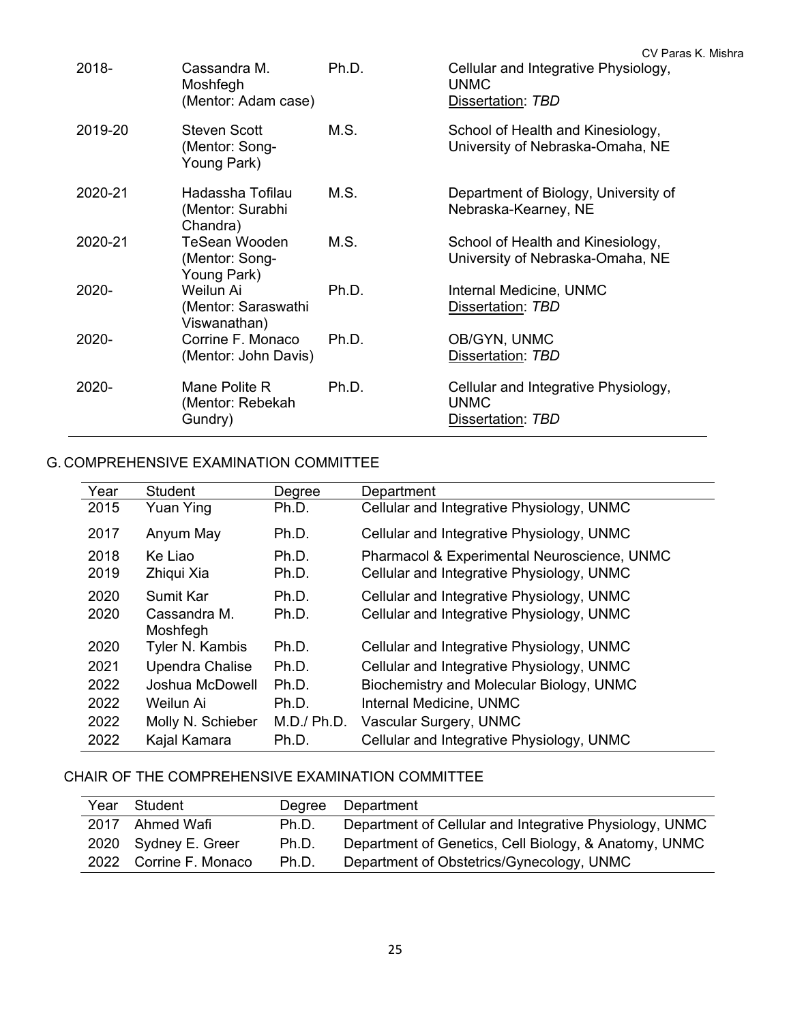|         |                                                       |       | CV Paras K. Mishra                                                       |
|---------|-------------------------------------------------------|-------|--------------------------------------------------------------------------|
| 2018-   | Cassandra M.<br>Moshfegh<br>(Mentor: Adam case)       | Ph.D. | Cellular and Integrative Physiology,<br><b>UNMC</b><br>Dissertation: TBD |
| 2019-20 | <b>Steven Scott</b><br>(Mentor: Song-<br>Young Park)  | M.S.  | School of Health and Kinesiology,<br>University of Nebraska-Omaha, NE    |
| 2020-21 | Hadassha Tofilau<br>(Mentor: Surabhi<br>Chandra)      | M.S.  | Department of Biology, University of<br>Nebraska-Kearney, NE             |
| 2020-21 | <b>TeSean Wooden</b><br>(Mentor: Song-<br>Young Park) | M.S.  | School of Health and Kinesiology,<br>University of Nebraska-Omaha, NE    |
| 2020-   | Weilun Ai<br>(Mentor: Saraswathi<br>Viswanathan)      | Ph.D. | Internal Medicine, UNMC<br>Dissertation: TBD                             |
| 2020-   | Corrine F. Monaco<br>(Mentor: John Davis)             | Ph.D. | OB/GYN, UNMC<br>Dissertation: TBD                                        |
| 2020-   | Mane Polite R<br>(Mentor: Rebekah<br>Gundry)          | Ph.D. | Cellular and Integrative Physiology,<br><b>UNMC</b><br>Dissertation: TBD |

## G. COMPREHENSIVE EXAMINATION COMMITTEE

| Year | Student           | Degree      | Department                                  |
|------|-------------------|-------------|---------------------------------------------|
| 2015 | Yuan Ying         | Ph.D.       | Cellular and Integrative Physiology, UNMC   |
| 2017 | Anyum May         | Ph.D.       | Cellular and Integrative Physiology, UNMC   |
| 2018 | Ke Liao           | Ph.D.       | Pharmacol & Experimental Neuroscience, UNMC |
| 2019 | Zhiqui Xia        | Ph.D.       | Cellular and Integrative Physiology, UNMC   |
| 2020 | Sumit Kar         | Ph.D.       | Cellular and Integrative Physiology, UNMC   |
| 2020 | Cassandra M.      | Ph.D.       | Cellular and Integrative Physiology, UNMC   |
|      | Moshfegh          |             |                                             |
| 2020 | Tyler N. Kambis   | Ph.D.       | Cellular and Integrative Physiology, UNMC   |
| 2021 | Upendra Chalise   | Ph.D.       | Cellular and Integrative Physiology, UNMC   |
| 2022 | Joshua McDowell   | Ph.D.       | Biochemistry and Molecular Biology, UNMC    |
| 2022 | Weilun Ai         | Ph.D.       | Internal Medicine, UNMC                     |
| 2022 | Molly N. Schieber | M.D./ Ph.D. | Vascular Surgery, UNMC                      |
| 2022 | Kajal Kamara      | Ph.D.       | Cellular and Integrative Physiology, UNMC   |

## CHAIR OF THE COMPREHENSIVE EXAMINATION COMMITTEE

| Year | Student                | Dearee | Department                                              |
|------|------------------------|--------|---------------------------------------------------------|
| 2017 | Ahmed Wafi             | Ph.D.  | Department of Cellular and Integrative Physiology, UNMC |
|      | 2020 Sydney E. Greer   | Ph.D.  | Department of Genetics, Cell Biology, & Anatomy, UNMC   |
|      | 2022 Corrine F. Monaco | Ph.D.  | Department of Obstetrics/Gynecology, UNMC               |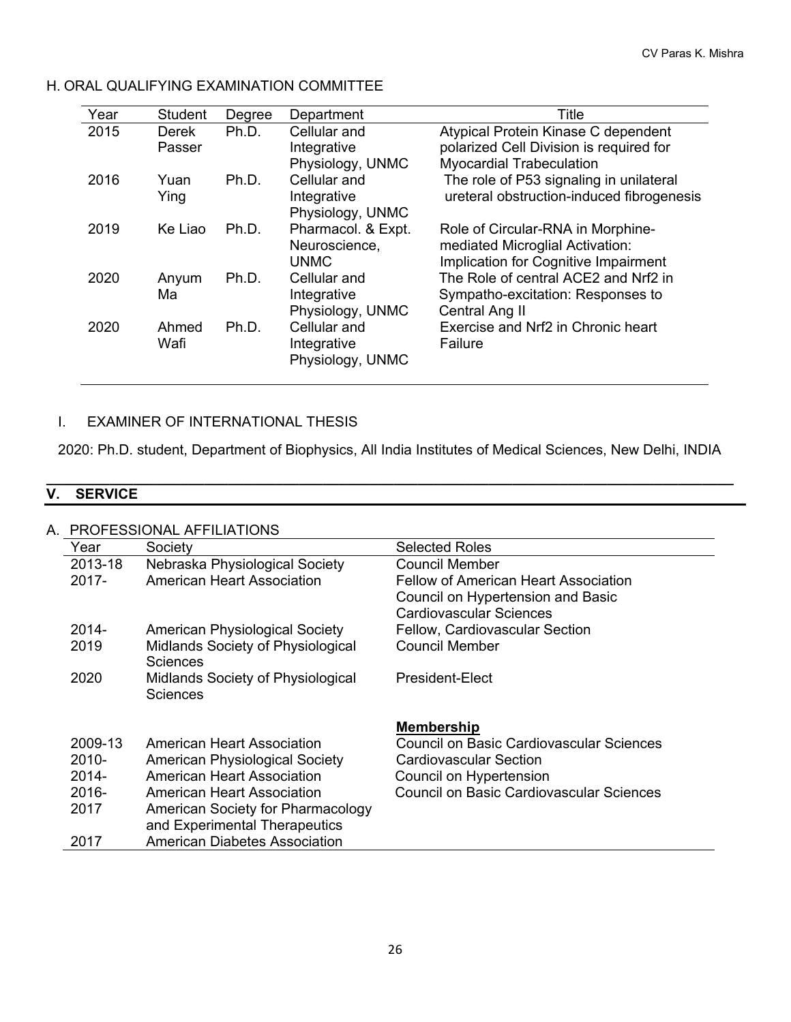| Year | Student         | Degree | Department                                         | Title                                                                                                             |
|------|-----------------|--------|----------------------------------------------------|-------------------------------------------------------------------------------------------------------------------|
| 2015 | Derek<br>Passer | Ph.D.  | Cellular and<br>Integrative<br>Physiology, UNMC    | Atypical Protein Kinase C dependent<br>polarized Cell Division is required for<br><b>Myocardial Trabeculation</b> |
| 2016 | Yuan<br>Ying    | Ph.D.  | Cellular and<br>Integrative<br>Physiology, UNMC    | The role of P53 signaling in unilateral<br>ureteral obstruction-induced fibrogenesis                              |
| 2019 | Ke Liao         | Ph.D.  | Pharmacol. & Expt.<br>Neuroscience,<br><b>UNMC</b> | Role of Circular-RNA in Morphine-<br>mediated Microglial Activation:<br>Implication for Cognitive Impairment      |
| 2020 | Anyum<br>Ma     | Ph.D.  | Cellular and<br>Integrative<br>Physiology, UNMC    | The Role of central ACE2 and Nrf2 in<br>Sympatho-excitation: Responses to<br>Central Ang II                       |
| 2020 | Ahmed<br>Wafi   | Ph.D.  | Cellular and<br>Integrative<br>Physiology, UNMC    | Exercise and Nrf2 in Chronic heart<br>Failure                                                                     |

## H. ORAL QUALIFYING EXAMINATION COMMITTEE

## I. EXAMINER OF INTERNATIONAL THESIS

2020: Ph.D. student, Department of Biophysics, All India Institutes of Medical Sciences, New Delhi, INDIA

#### **\_\_\_\_\_\_\_\_\_\_\_\_\_\_\_\_\_\_\_\_\_\_\_\_\_\_\_\_\_\_\_\_\_\_\_\_\_\_\_\_\_\_\_\_\_\_\_\_\_\_\_\_\_\_\_\_\_\_\_\_\_\_\_\_\_\_\_\_\_\_\_\_\_\_\_\_\_\_\_\_\_\_\_\_\_\_\_ V. SERVICE**

| А | PROFESSIONAL AFFILIATIONS |                                               |                                                 |
|---|---------------------------|-----------------------------------------------|-------------------------------------------------|
|   | Year                      | Society                                       | <b>Selected Roles</b>                           |
|   | 2013-18                   | Nebraska Physiological Society                | <b>Council Member</b>                           |
|   | $2017 -$                  | <b>American Heart Association</b>             | <b>Fellow of American Heart Association</b>     |
|   |                           |                                               | Council on Hypertension and Basic               |
|   |                           |                                               | Cardiovascular Sciences                         |
|   | 2014-                     | <b>American Physiological Society</b>         | <b>Fellow, Cardiovascular Section</b>           |
|   | 2019                      | Midlands Society of Physiological<br>Sciences | <b>Council Member</b>                           |
|   | 2020                      | Midlands Society of Physiological             | President-Elect                                 |
|   |                           | Sciences                                      |                                                 |
|   |                           |                                               | <b>Membership</b>                               |
|   | 2009-13                   | <b>American Heart Association</b>             | Council on Basic Cardiovascular Sciences        |
|   | $2010 -$                  | <b>American Physiological Society</b>         | Cardiovascular Section                          |
|   | $2014 -$                  | <b>American Heart Association</b>             | Council on Hypertension                         |
|   | 2016-                     | <b>American Heart Association</b>             | <b>Council on Basic Cardiovascular Sciences</b> |
|   | 2017                      | American Society for Pharmacology             |                                                 |
|   |                           | and Experimental Therapeutics                 |                                                 |
|   | 2017                      | American Diabetes Association                 |                                                 |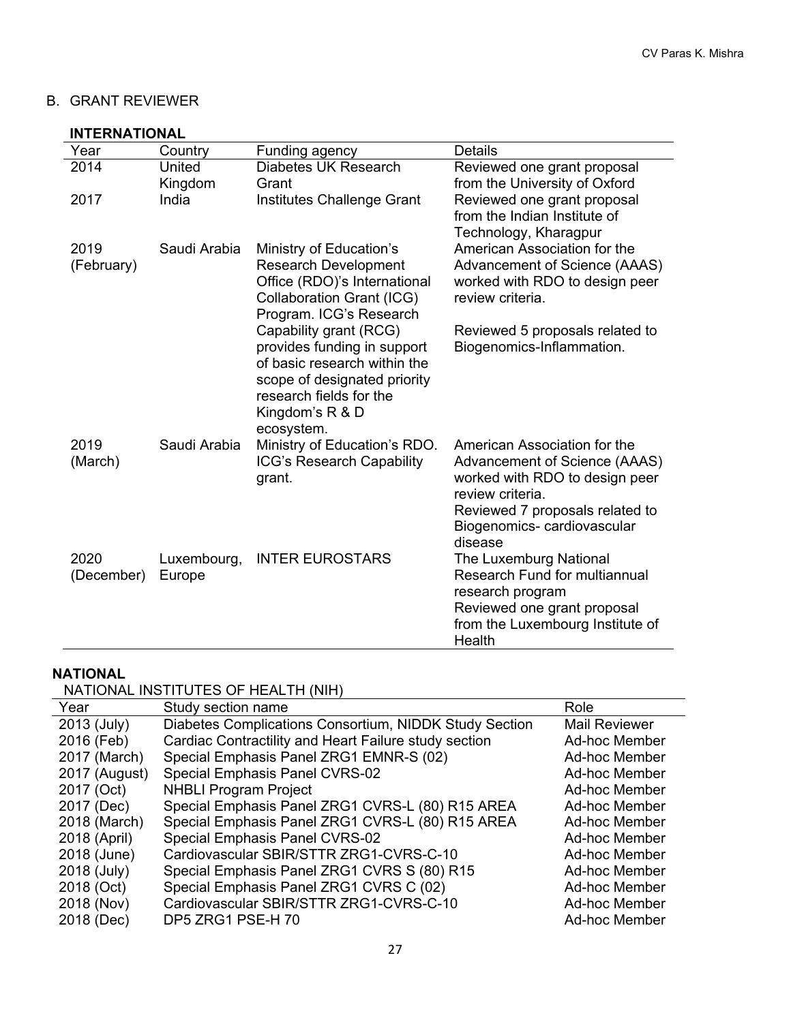## B. GRANT REVIEWER

### **INTERNATIONAL**

| Year               | Country               | Funding agency                                                                                                                                                                    | <b>Details</b>                                                                                                                                                                       |
|--------------------|-----------------------|-----------------------------------------------------------------------------------------------------------------------------------------------------------------------------------|--------------------------------------------------------------------------------------------------------------------------------------------------------------------------------------|
| 2014               | United                | Diabetes UK Research                                                                                                                                                              | Reviewed one grant proposal                                                                                                                                                          |
|                    | Kingdom               | Grant                                                                                                                                                                             | from the University of Oxford                                                                                                                                                        |
| 2017               | India                 | Institutes Challenge Grant                                                                                                                                                        | Reviewed one grant proposal<br>from the Indian Institute of<br>Technology, Kharagpur                                                                                                 |
| 2019               | Saudi Arabia          | Ministry of Education's                                                                                                                                                           | American Association for the                                                                                                                                                         |
| (February)         |                       | <b>Research Development</b><br>Office (RDO)'s International<br><b>Collaboration Grant (ICG)</b><br>Program. ICG's Research                                                        | Advancement of Science (AAAS)<br>worked with RDO to design peer<br>review criteria.                                                                                                  |
|                    |                       | Capability grant (RCG)<br>provides funding in support<br>of basic research within the<br>scope of designated priority<br>research fields for the<br>Kingdom's R & D<br>ecosystem. | Reviewed 5 proposals related to<br>Biogenomics-Inflammation.                                                                                                                         |
| 2019<br>(March)    | Saudi Arabia          | Ministry of Education's RDO.<br>ICG's Research Capability<br>grant.                                                                                                               | American Association for the<br>Advancement of Science (AAAS)<br>worked with RDO to design peer<br>review criteria.<br>Reviewed 7 proposals related to<br>Biogenomics-cardiovascular |
| 2020<br>(December) | Luxembourg,<br>Europe | <b>INTER EUROSTARS</b>                                                                                                                                                            | disease<br>The Luxemburg National<br><b>Research Fund for multiannual</b><br>research program<br>Reviewed one grant proposal<br>from the Luxembourg Institute of<br>Health           |

# **NATIONAL**

## NATIONAL INSTITUTES OF HEALTH (NIH)

| Year          | Study section name                                     | Role                 |
|---------------|--------------------------------------------------------|----------------------|
| 2013 (July)   | Diabetes Complications Consortium, NIDDK Study Section | <b>Mail Reviewer</b> |
| 2016 (Feb)    | Cardiac Contractility and Heart Failure study section  | Ad-hoc Member        |
| 2017 (March)  | Special Emphasis Panel ZRG1 EMNR-S (02)                | Ad-hoc Member        |
| 2017 (August) | Special Emphasis Panel CVRS-02                         | <b>Ad-hoc Member</b> |
| 2017 (Oct)    | <b>NHBLI Program Project</b>                           | Ad-hoc Member        |
| 2017 (Dec)    | Special Emphasis Panel ZRG1 CVRS-L (80) R15 AREA       | Ad-hoc Member        |
| 2018 (March)  | Special Emphasis Panel ZRG1 CVRS-L (80) R15 AREA       | Ad-hoc Member        |
| 2018 (April)  | Special Emphasis Panel CVRS-02                         | Ad-hoc Member        |
| 2018 (June)   | Cardiovascular SBIR/STTR ZRG1-CVRS-C-10                | Ad-hoc Member        |
| 2018 (July)   | Special Emphasis Panel ZRG1 CVRS S (80) R15            | <b>Ad-hoc Member</b> |
| 2018 (Oct)    | Special Emphasis Panel ZRG1 CVRS C (02)                | Ad-hoc Member        |
| 2018 (Nov)    | Cardiovascular SBIR/STTR ZRG1-CVRS-C-10                | <b>Ad-hoc Member</b> |
| 2018 (Dec)    | DP5 ZRG1 PSE-H 70                                      | Ad-hoc Member        |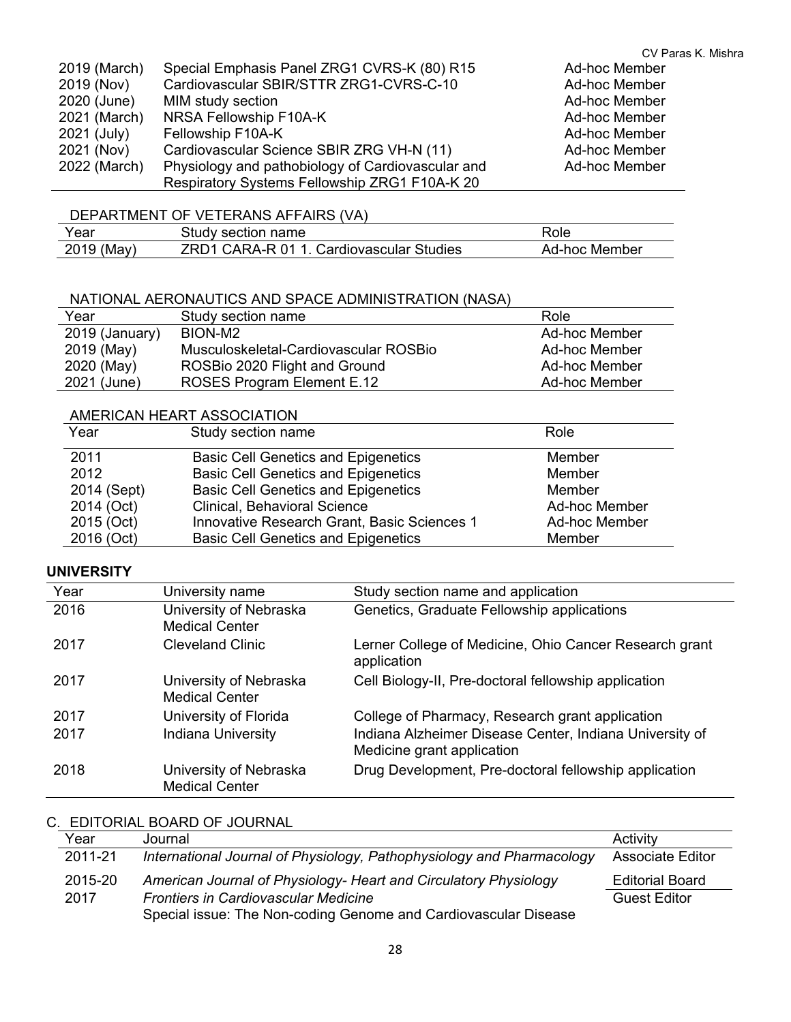|              |                                                   | CV Paras K. Mishra |
|--------------|---------------------------------------------------|--------------------|
| 2019 (March) | Special Emphasis Panel ZRG1 CVRS-K (80) R15       | Ad-hoc Member      |
| 2019 (Nov)   | Cardiovascular SBIR/STTR ZRG1-CVRS-C-10           | Ad-hoc Member      |
| 2020 (June)  | MIM study section                                 | Ad-hoc Member      |
| 2021 (March) | NRSA Fellowship F10A-K                            | Ad-hoc Member      |
| 2021 (July)  | Fellowship F10A-K                                 | Ad-hoc Member      |
| 2021 (Nov)   | Cardiovascular Science SBIR ZRG VH-N (11)         | Ad-hoc Member      |
| 2022 (March) | Physiology and pathobiology of Cardiovascular and | Ad-hoc Member      |
|              | Respiratory Systems Fellowship ZRG1 F10A-K 20     |                    |

## DEPARTMENT OF VETERANS AFFAIRS (VA)

| Year       | Study section name                       | Role          |
|------------|------------------------------------------|---------------|
| 2019 (May) | ZRD1 CARA-R 01 1. Cardiovascular Studies | Ad-hoc Member |

#### NATIONAL AERONAUTICS AND SPACE ADMINISTRATION (NASA)

| Year           | Study section name                    | Role          |
|----------------|---------------------------------------|---------------|
| 2019 (January) | BION-M <sub>2</sub>                   | Ad-hoc Member |
| 2019 (May)     | Musculoskeletal-Cardiovascular ROSBio | Ad-hoc Member |
| 2020 (May)     | ROSBio 2020 Flight and Ground         | Ad-hoc Member |
| 2021 (June)    | ROSES Program Element E.12            | Ad-hoc Member |

### AMERICAN HEART ASSOCIATION

| Year        | Study section name                          | Role                 |
|-------------|---------------------------------------------|----------------------|
| 2011        | <b>Basic Cell Genetics and Epigenetics</b>  | Member               |
| 2012        | <b>Basic Cell Genetics and Epigenetics</b>  | Member               |
| 2014 (Sept) | <b>Basic Cell Genetics and Epigenetics</b>  | Member               |
| 2014 (Oct)  | <b>Clinical, Behavioral Science</b>         | <b>Ad-hoc Member</b> |
| 2015 (Oct)  | Innovative Research Grant, Basic Sciences 1 | Ad-hoc Member        |
| 2016 (Oct)  | <b>Basic Cell Genetics and Epigenetics</b>  | Member               |

### **UNIVERSITY**

| Year | University name                                 | Study section name and application                                                    |
|------|-------------------------------------------------|---------------------------------------------------------------------------------------|
| 2016 | University of Nebraska<br><b>Medical Center</b> | Genetics, Graduate Fellowship applications                                            |
| 2017 | <b>Cleveland Clinic</b>                         | Lerner College of Medicine, Ohio Cancer Research grant<br>application                 |
| 2017 | University of Nebraska<br><b>Medical Center</b> | Cell Biology-II, Pre-doctoral fellowship application                                  |
| 2017 | University of Florida                           | College of Pharmacy, Research grant application                                       |
| 2017 | <b>Indiana University</b>                       | Indiana Alzheimer Disease Center, Indiana University of<br>Medicine grant application |
| 2018 | University of Nebraska<br><b>Medical Center</b> | Drug Development, Pre-doctoral fellowship application                                 |

## C. EDITORIAL BOARD OF JOURNAL

| Year    | Journal                                                               | Activity                |
|---------|-----------------------------------------------------------------------|-------------------------|
| 2011-21 | International Journal of Physiology, Pathophysiology and Pharmacology | <b>Associate Editor</b> |
| 2015-20 | American Journal of Physiology- Heart and Circulatory Physiology      | <b>Editorial Board</b>  |
| 2017    | <b>Frontiers in Cardiovascular Medicine</b>                           | Guest Editor            |
|         | Special issue: The Non-coding Genome and Cardiovascular Disease       |                         |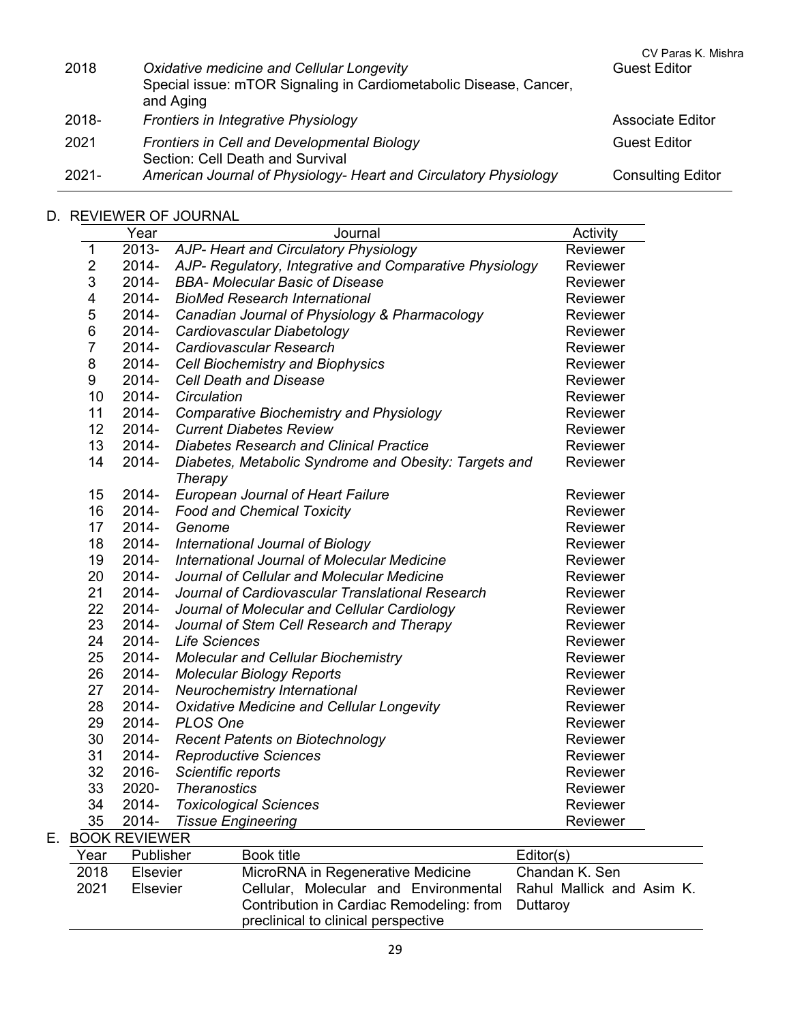| 2018     | Oxidative medicine and Cellular Longevity<br>Special issue: mTOR Signaling in Cardiometabolic Disease, Cancer,<br>and Aging | CV Paras K. Mishra<br><b>Guest Editor</b> |
|----------|-----------------------------------------------------------------------------------------------------------------------------|-------------------------------------------|
| 2018-    | Frontiers in Integrative Physiology                                                                                         | <b>Associate Editor</b>                   |
| 2021     | Frontiers in Cell and Developmental Biology<br>Section: Cell Death and Survival                                             | <b>Guest Editor</b>                       |
| $2021 -$ | American Journal of Physiology- Heart and Circulatory Physiology                                                            | <b>Consulting Editor</b>                  |

## D. REVIEWER OF JOURNAL

|                         | Year                 | Journal                                                          | Activity        |
|-------------------------|----------------------|------------------------------------------------------------------|-----------------|
| 1                       | 2013-                | AJP- Heart and Circulatory Physiology                            | Reviewer        |
| $\mathbf 2$             | 2014-                | AJP- Regulatory, Integrative and Comparative Physiology          | Reviewer        |
| 3                       | 2014-                | <b>BBA- Molecular Basic of Disease</b>                           | Reviewer        |
| $\overline{\mathbf{4}}$ | 2014-                | <b>BioMed Research International</b>                             | <b>Reviewer</b> |
| 5                       | 2014-                | Canadian Journal of Physiology & Pharmacology                    | <b>Reviewer</b> |
| 6                       | 2014-                | Cardiovascular Diabetology                                       | Reviewer        |
| 7                       | 2014-                | Cardiovascular Research                                          | <b>Reviewer</b> |
| 8                       | 2014-                | <b>Cell Biochemistry and Biophysics</b>                          | Reviewer        |
| 9                       | 2014-                | <b>Cell Death and Disease</b>                                    | Reviewer        |
| 10                      | 2014-                | Circulation                                                      | Reviewer        |
| 11                      | 2014-                | <b>Comparative Biochemistry and Physiology</b>                   | Reviewer        |
| 12                      | 2014-                | <b>Current Diabetes Review</b>                                   | Reviewer        |
| 13                      | 2014-                | <b>Diabetes Research and Clinical Practice</b>                   | <b>Reviewer</b> |
| 14                      | 2014-                | Diabetes, Metabolic Syndrome and Obesity: Targets and<br>Therapy | Reviewer        |
| 15                      | 2014-                | <b>European Journal of Heart Failure</b>                         | <b>Reviewer</b> |
| 16                      | 2014-                | <b>Food and Chemical Toxicity</b>                                | Reviewer        |
| 17                      | 2014-                | Genome                                                           | Reviewer        |
| 18                      | 2014-                | International Journal of Biology                                 | <b>Reviewer</b> |
| 19                      | 2014-                | International Journal of Molecular Medicine                      | <b>Reviewer</b> |
| 20                      | 2014-                | Journal of Cellular and Molecular Medicine                       | <b>Reviewer</b> |
| 21                      | 2014-                | Journal of Cardiovascular Translational Research                 | <b>Reviewer</b> |
| 22                      | 2014-                | Journal of Molecular and Cellular Cardiology                     | <b>Reviewer</b> |
| 23                      | 2014-                | Journal of Stem Cell Research and Therapy                        | Reviewer        |
| 24                      | 2014-                | <b>Life Sciences</b>                                             | Reviewer        |
| 25                      | 2014-                | <b>Molecular and Cellular Biochemistry</b>                       | Reviewer        |
| 26                      | 2014-                | <b>Molecular Biology Reports</b>                                 | Reviewer        |
| 27                      | 2014-                | Neurochemistry International                                     | Reviewer        |
| 28                      | 2014-                | <b>Oxidative Medicine and Cellular Longevity</b>                 | Reviewer        |
| 29                      | 2014-                | PLOS One                                                         | Reviewer        |
| 30                      | 2014-                | <b>Recent Patents on Biotechnology</b>                           | Reviewer        |
| 31                      | 2014-                | <b>Reproductive Sciences</b>                                     | Reviewer        |
| 32                      | 2016-                | Scientific reports                                               | Reviewer        |
| 33                      | 2020-                | <b>Theranostics</b>                                              | Reviewer        |
| 34                      | 2014-                | <b>Toxicological Sciences</b>                                    | Reviewer        |
| 35                      | 2014-                | <b>Tissue Engineering</b>                                        | Reviewer        |
|                         | <b>BOOK REVIEWER</b> |                                                                  |                 |

| Year | <b>Publisher</b> | Book title                                                      | Editor(s)      |
|------|------------------|-----------------------------------------------------------------|----------------|
| 2018 | <b>Elsevier</b>  | MicroRNA in Regenerative Medicine                               | Chandan K. Sen |
| 2021 | Elsevier         | Cellular, Molecular and Environmental Rahul Mallick and Asim K. |                |
|      |                  | Contribution in Cardiac Remodeling: from Duttaroy               |                |
|      |                  | preclinical to clinical perspective                             |                |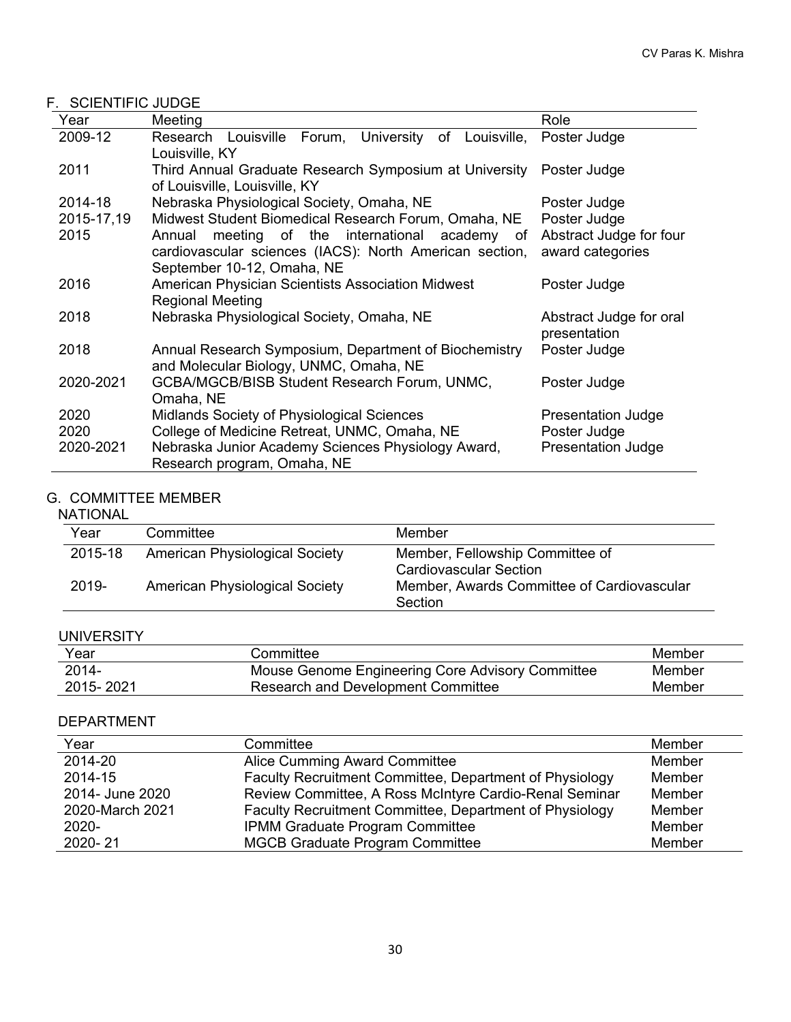## F. SCIENTIFIC JUDGE

| Year       | Meeting                                                                                                                                    | Role                                        |
|------------|--------------------------------------------------------------------------------------------------------------------------------------------|---------------------------------------------|
| 2009-12    | Research Louisville Forum, University of<br>Louisville,<br>Louisville, KY                                                                  | Poster Judge                                |
| 2011       | Third Annual Graduate Research Symposium at University<br>of Louisville, Louisville, KY                                                    | Poster Judge                                |
| 2014-18    | Nebraska Physiological Society, Omaha, NE                                                                                                  | Poster Judge                                |
| 2015-17,19 | Midwest Student Biomedical Research Forum, Omaha, NE                                                                                       | Poster Judge                                |
| 2015       | meeting of the international academy of<br>Annual<br>cardiovascular sciences (IACS): North American section,<br>September 10-12, Omaha, NE | Abstract Judge for four<br>award categories |
| 2016       | American Physician Scientists Association Midwest<br><b>Regional Meeting</b>                                                               | Poster Judge                                |
| 2018       | Nebraska Physiological Society, Omaha, NE                                                                                                  | Abstract Judge for oral<br>presentation     |
| 2018       | Annual Research Symposium, Department of Biochemistry<br>and Molecular Biology, UNMC, Omaha, NE                                            | Poster Judge                                |
| 2020-2021  | GCBA/MGCB/BISB Student Research Forum, UNMC,<br>Omaha, NE                                                                                  | Poster Judge                                |
| 2020       | <b>Midlands Society of Physiological Sciences</b>                                                                                          | Presentation Judge                          |
| 2020       | College of Medicine Retreat, UNMC, Omaha, NE                                                                                               | Poster Judge                                |
| 2020-2021  | Nebraska Junior Academy Sciences Physiology Award,<br>Research program, Omaha, NE                                                          | <b>Presentation Judge</b>                   |

## G. COMMITTEE MEMBER

## NATIONAL

| Year    | Committee                             | Member                                                           |
|---------|---------------------------------------|------------------------------------------------------------------|
| 2015-18 | <b>American Physiological Society</b> | Member, Fellowship Committee of<br><b>Cardiovascular Section</b> |
| 2019-   | <b>American Physiological Society</b> | Member, Awards Committee of Cardiovascular<br>Section            |

### UNIVERSITY

| Year      | Committee                                        | Member |
|-----------|--------------------------------------------------|--------|
| $2014 -$  | Mouse Genome Engineering Core Advisory Committee | Member |
| 2015-2021 | Research and Development Committee               | Member |

## DEPARTMENT

| Year            | Committee                                               | Member |
|-----------------|---------------------------------------------------------|--------|
| 2014-20         | <b>Alice Cumming Award Committee</b>                    | Member |
| 2014-15         | Faculty Recruitment Committee, Department of Physiology | Member |
| 2014- June 2020 | Review Committee, A Ross McIntyre Cardio-Renal Seminar  | Member |
| 2020-March 2021 | Faculty Recruitment Committee, Department of Physiology | Member |
| 2020-           | IPMM Graduate Program Committee                         | Member |
| 2020-21         | <b>MGCB Graduate Program Committee</b>                  | Member |